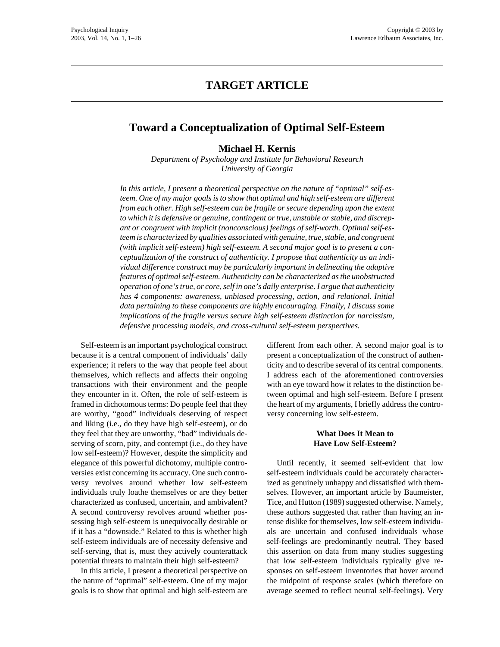# **TARGET ARTICLE**

## **Toward a Conceptualization of Optimal Self-Esteem**

### **Michael H. Kernis**

*Department of Psychology and Institute for Behavioral Research University of Georgia*

*In this article, I present a theoretical perspective on the nature of "optimal" self-esteem. One of my major goals is to show that optimal and high self-esteem are different from each other. High self-esteem can be fragile or secure depending upon the extent to which it is defensive or genuine, contingent or true, unstable or stable, and discrepant or congruent with implicit (nonconscious) feelings of self-worth. Optimal self-esteem is characterized by qualities associated with genuine, true, stable, and congruent (with implicit self-esteem) high self-esteem. A second major goal is to present a conceptualization of the construct of authenticity. I propose that authenticity as an individual difference construct may be particularly important in delineating the adaptive features of optimal self-esteem. Authenticity can be characterized as the unobstructed operation of one's true, or core, self in one's daily enterprise. I argue that authenticity has 4 components: awareness, unbiased processing, action, and relational. Initial data pertaining to these components are highly encouraging. Finally, I discuss some implications of the fragile versus secure high self-esteem distinction for narcissism, defensive processing models, and cross-cultural self-esteem perspectives.*

Self-esteem is an important psychological construct because it is a central component of individuals' daily experience; it refers to the way that people feel about themselves, which reflects and affects their ongoing transactions with their environment and the people they encounter in it. Often, the role of self-esteem is framed in dichotomous terms: Do people feel that they are worthy, "good" individuals deserving of respect and liking (i.e., do they have high self-esteem), or do they feel that they are unworthy, "bad" individuals deserving of scorn, pity, and contempt (i.e., do they have low self-esteem)? However, despite the simplicity and elegance of this powerful dichotomy, multiple controversies exist concerning its accuracy. One such controversy revolves around whether low self-esteem individuals truly loathe themselves or are they better characterized as confused, uncertain, and ambivalent? A second controversy revolves around whether possessing high self-esteem is unequivocally desirable or if it has a "downside." Related to this is whether high self-esteem individuals are of necessity defensive and self-serving, that is, must they actively counterattack potential threats to maintain their high self-esteem?

In this article, I present a theoretical perspective on the nature of "optimal" self-esteem. One of my major goals is to show that optimal and high self-esteem are different from each other. A second major goal is to present a conceptualization of the construct of authenticity and to describe several of its central components. I address each of the aforementioned controversies with an eye toward how it relates to the distinction between optimal and high self-esteem. Before I present the heart of my arguments, I briefly address the controversy concerning low self-esteem.

### **What Does It Mean to Have Low Self-Esteem?**

Until recently, it seemed self-evident that low self-esteem individuals could be accurately characterized as genuinely unhappy and dissatisfied with themselves. However, an important article by Baumeister, Tice, and Hutton (1989) suggested otherwise. Namely, these authors suggested that rather than having an intense dislike for themselves, low self-esteem individuals are uncertain and confused individuals whose self-feelings are predominantly neutral. They based this assertion on data from many studies suggesting that low self-esteem individuals typically give responses on self-esteem inventories that hover around the midpoint of response scales (which therefore on average seemed to reflect neutral self-feelings). Very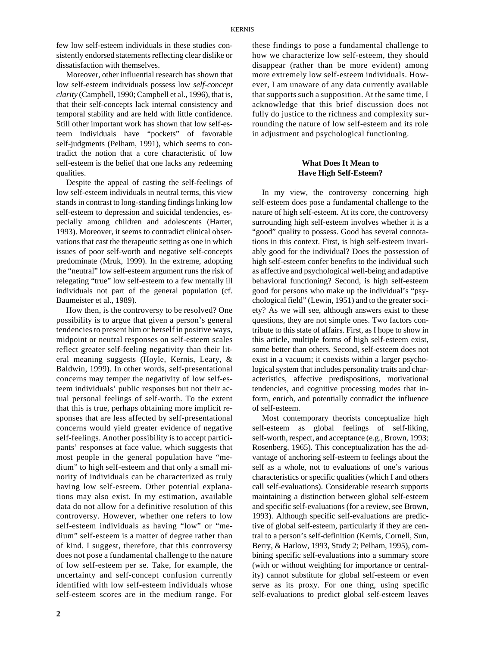few low self-esteem individuals in these studies consistently endorsed statements reflecting clear dislike or dissatisfaction with themselves.

Moreover, other influential research has shown that low self-esteem individuals possess low *self-concept clarity* (Campbell, 1990; Campbell et al., 1996), that is, that their self-concepts lack internal consistency and temporal stability and are held with little confidence. Still other important work has shown that low self-esteem individuals have "pockets" of favorable self-judgments (Pelham, 1991), which seems to contradict the notion that a core characteristic of low self-esteem is the belief that one lacks any redeeming qualities.

Despite the appeal of casting the self-feelings of low self-esteem individuals in neutral terms, this view stands in contrast to long-standing findings linking low self-esteem to depression and suicidal tendencies, especially among children and adolescents (Harter, 1993). Moreover, it seems to contradict clinical observations that cast the therapeutic setting as one in which issues of poor self-worth and negative self-concepts predominate (Mruk, 1999). In the extreme, adopting the "neutral" low self-esteem argument runs the risk of relegating "true" low self-esteem to a few mentally ill individuals not part of the general population (cf. Baumeister et al., 1989).

How then, is the controversy to be resolved? One possibility is to argue that given a person's general tendencies to present him or herself in positive ways, midpoint or neutral responses on self-esteem scales reflect greater self-feeling negativity than their literal meaning suggests (Hoyle, Kernis, Leary, & Baldwin, 1999). In other words, self-presentational concerns may temper the negativity of low self-esteem individuals' public responses but not their actual personal feelings of self-worth. To the extent that this is true, perhaps obtaining more implicit responses that are less affected by self-presentational concerns would yield greater evidence of negative self-feelings. Another possibility is to accept participants' responses at face value, which suggests that most people in the general population have "medium" to high self-esteem and that only a small minority of individuals can be characterized as truly having low self-esteem. Other potential explanations may also exist. In my estimation, available data do not allow for a definitive resolution of this controversy. However, whether one refers to low self-esteem individuals as having "low" or "medium" self-esteem is a matter of degree rather than of kind. I suggest, therefore, that this controversy does not pose a fundamental challenge to the nature of low self-esteem per se. Take, for example, the uncertainty and self-concept confusion currently identified with low self-esteem individuals whose self-esteem scores are in the medium range. For

**2**

these findings to pose a fundamental challenge to how we characterize low self-esteem, they should disappear (rather than be more evident) among more extremely low self-esteem individuals. However, I am unaware of any data currently available that supports such a supposition. At the same time, I acknowledge that this brief discussion does not fully do justice to the richness and complexity surrounding the nature of low self-esteem and its role in adjustment and psychological functioning.

### **What Does It Mean to Have High Self-Esteem?**

In my view, the controversy concerning high self-esteem does pose a fundamental challenge to the nature of high self-esteem. At its core, the controversy surrounding high self-esteem involves whether it is a "good" quality to possess. Good has several connotations in this context. First, is high self-esteem invariably good for the individual? Does the possession of high self-esteem confer benefits to the individual such as affective and psychological well-being and adaptive behavioral functioning? Second, is high self-esteem good for persons who make up the individual's "psychological field" (Lewin, 1951) and to the greater society? As we will see, although answers exist to these questions, they are not simple ones. Two factors contribute to this state of affairs. First, as I hope to show in this article, multiple forms of high self-esteem exist, some better than others. Second, self-esteem does not exist in a vacuum; it coexists within a larger psychological system that includes personality traits and characteristics, affective predispositions, motivational tendencies, and cognitive processing modes that inform, enrich, and potentially contradict the influence of self-esteem.

Most contemporary theorists conceptualize high self-esteem as global feelings of self-liking, self-worth, respect, and acceptance (e.g., Brown, 1993; Rosenberg, 1965). This conceptualization has the advantage of anchoring self-esteem to feelings about the self as a whole, not to evaluations of one's various characteristics or specific qualities (which I and others call self-evaluations). Considerable research supports maintaining a distinction between global self-esteem and specific self-evaluations (for a review, see Brown, 1993). Although specific self-evaluations are predictive of global self-esteem, particularly if they are central to a person's self-definition (Kernis, Cornell, Sun, Berry, & Harlow, 1993, Study 2; Pelham, 1995), combining specific self-evaluations into a summary score (with or without weighting for importance or centrality) cannot substitute for global self-esteem or even serve as its proxy. For one thing, using specific self-evaluations to predict global self-esteem leaves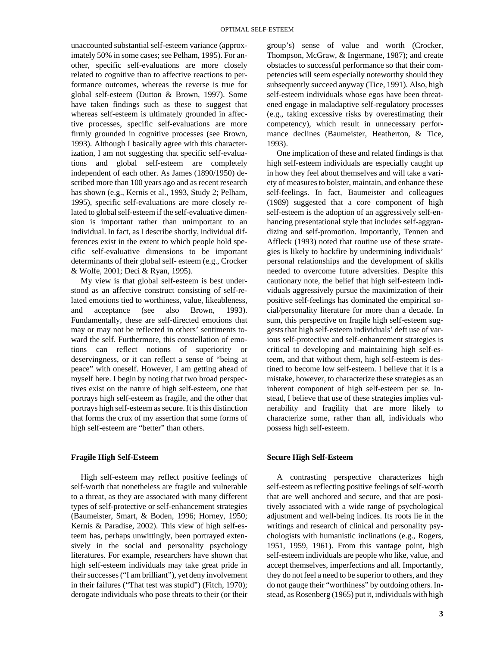unaccounted substantial self-esteem variance (approximately 50% in some cases; see Pelham, 1995). For another, specific self-evaluations are more closely related to cognitive than to affective reactions to performance outcomes, whereas the reverse is true for global self-esteem (Dutton & Brown, 1997). Some have taken findings such as these to suggest that whereas self-esteem is ultimately grounded in affective processes, specific self-evaluations are more firmly grounded in cognitive processes (see Brown, 1993). Although I basically agree with this characterization, I am not suggesting that specific self-evaluations and global self-esteem are completely independent of each other. As James (1890/1950) described more than 100 years ago and as recent research has shown (e.g., Kernis et al., 1993, Study 2; Pelham, 1995), specific self-evaluations are more closely related to global self-esteem if the self-evaluative dimension is important rather than unimportant to an individual. In fact, as I describe shortly, individual differences exist in the extent to which people hold specific self-evaluative dimensions to be important determinants of their global self- esteem (e.g., Crocker & Wolfe, 2001; Deci & Ryan, 1995).

My view is that global self-esteem is best understood as an affective construct consisting of self-related emotions tied to worthiness, value, likeableness, and acceptance (see also Brown, 1993). Fundamentally, these are self-directed emotions that may or may not be reflected in others' sentiments toward the self. Furthermore, this constellation of emotions can reflect notions of superiority or deservingness, or it can reflect a sense of "being at peace" with oneself. However, I am getting ahead of myself here. I begin by noting that two broad perspectives exist on the nature of high self-esteem, one that portrays high self-esteem as fragile, and the other that portrays high self-esteem as secure. It is this distinction that forms the crux of my assertion that some forms of high self-esteem are "better" than others.

#### **Fragile High Self-Esteem**

High self-esteem may reflect positive feelings of self-worth that nonetheless are fragile and vulnerable to a threat, as they are associated with many different types of self-protective or self-enhancement strategies (Baumeister, Smart, & Boden, 1996; Horney, 1950; Kernis & Paradise, 2002). This view of high self-esteem has, perhaps unwittingly, been portrayed extensively in the social and personality psychology literatures. For example, researchers have shown that high self-esteem individuals may take great pride in their successes ("I am brilliant"), yet deny involvement in their failures ("That test was stupid") (Fitch, 1970); derogate individuals who pose threats to their (or their group's) sense of value and worth (Crocker, Thompson, McGraw, & Ingermane, 1987); and create obstacles to successful performance so that their competencies will seem especially noteworthy should they subsequently succeed anyway (Tice, 1991). Also, high self-esteem individuals whose egos have been threatened engage in maladaptive self-regulatory processes (e.g., taking excessive risks by overestimating their competency), which result in unnecessary performance declines (Baumeister, Heatherton, & Tice, 1993).

One implication of these and related findings is that high self-esteem individuals are especially caught up in how they feel about themselves and will take a variety of measures to bolster, maintain, and enhance these self-feelings. In fact, Baumeister and colleagues (1989) suggested that a core component of high self-esteem is the adoption of an aggressively self-enhancing presentational style that includes self-aggrandizing and self-promotion. Importantly, Tennen and Affleck (1993) noted that routine use of these strategies is likely to backfire by undermining individuals' personal relationships and the development of skills needed to overcome future adversities. Despite this cautionary note, the belief that high self-esteem individuals aggressively pursue the maximization of their positive self-feelings has dominated the empirical social/personality literature for more than a decade. In sum, this perspective on fragile high self-esteem suggests that high self-esteem individuals' deft use of various self-protective and self-enhancement strategies is critical to developing and maintaining high self-esteem, and that without them, high self-esteem is destined to become low self-esteem. I believe that it is a mistake, however, to characterize these strategies as an inherent component of high self-esteem per se. Instead, I believe that use of these strategies implies vulnerability and fragility that are more likely to characterize some, rather than all, individuals who possess high self-esteem.

### **Secure High Self-Esteem**

A contrasting perspective characterizes high self-esteem as reflecting positive feelings of self-worth that are well anchored and secure, and that are positively associated with a wide range of psychological adjustment and well-being indices. Its roots lie in the writings and research of clinical and personality psychologists with humanistic inclinations (e.g., Rogers, 1951, 1959, 1961). From this vantage point, high self-esteem individuals are people who like, value, and accept themselves, imperfections and all. Importantly, they do not feel a need to be superior to others, and they do not gauge their "worthiness" by outdoing others. Instead, as Rosenberg (1965) put it, individuals with high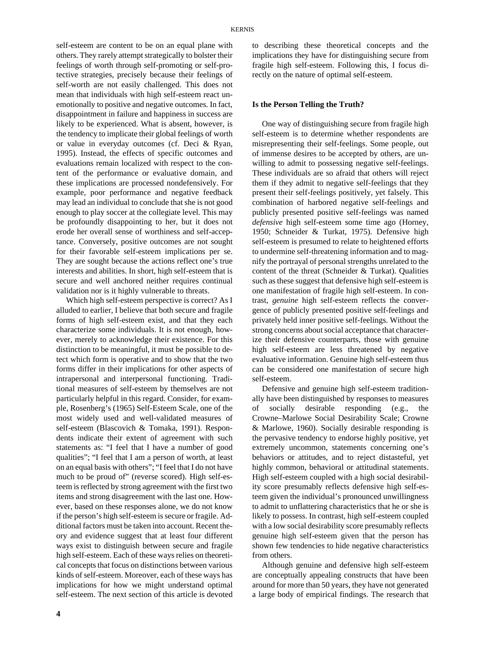self-esteem are content to be on an equal plane with others. They rarely attempt strategically to bolster their feelings of worth through self-promoting or self-protective strategies, precisely because their feelings of self-worth are not easily challenged. This does not mean that individuals with high self-esteem react unemotionally to positive and negative outcomes. In fact, disappointment in failure and happiness in success are likely to be experienced. What is absent, however, is the tendency to implicate their global feelings of worth or value in everyday outcomes (cf. Deci & Ryan, 1995). Instead, the effects of specific outcomes and evaluations remain localized with respect to the content of the performance or evaluative domain, and these implications are processed nondefensively. For example, poor performance and negative feedback may lead an individual to conclude that she is not good enough to play soccer at the collegiate level. This may be profoundly disappointing to her, but it does not erode her overall sense of worthiness and self-acceptance. Conversely, positive outcomes are not sought for their favorable self-esteem implications per se. They are sought because the actions reflect one's true interests and abilities. In short, high self-esteem that is secure and well anchored neither requires continual validation nor is it highly vulnerable to threats.

Which high self-esteem perspective is correct? As I alluded to earlier, I believe that both secure and fragile forms of high self-esteem exist, and that they each characterize some individuals. It is not enough, however, merely to acknowledge their existence. For this distinction to be meaningful, it must be possible to detect which form is operative and to show that the two forms differ in their implications for other aspects of intrapersonal and interpersonal functioning. Traditional measures of self-esteem by themselves are not particularly helpful in this regard. Consider, for example, Rosenberg's (1965) Self-Esteem Scale, one of the most widely used and well-validated measures of self-esteem (Blascovich & Tomaka, 1991). Respondents indicate their extent of agreement with such statements as: "I feel that I have a number of good qualities"; "I feel that I am a person of worth, at least on an equal basis with others"; "I feel that I do not have much to be proud of" (reverse scored). High self-esteem is reflected by strong agreement with the first two items and strong disagreement with the last one. However, based on these responses alone, we do not know if the person's high self-esteem is secure or fragile. Additional factors must be taken into account. Recent theory and evidence suggest that at least four different ways exist to distinguish between secure and fragile high self-esteem. Each of these ways relies on theoretical concepts that focus on distinctions between various kinds of self-esteem. Moreover, each of these ways has implications for how we might understand optimal self-esteem. The next section of this article is devoted to describing these theoretical concepts and the implications they have for distinguishing secure from fragile high self-esteem. Following this, I focus directly on the nature of optimal self-esteem.

#### **Is the Person Telling the Truth?**

One way of distinguishing secure from fragile high self-esteem is to determine whether respondents are misrepresenting their self-feelings. Some people, out of immense desires to be accepted by others, are unwilling to admit to possessing negative self-feelings. These individuals are so afraid that others will reject them if they admit to negative self-feelings that they present their self-feelings positively, yet falsely. This combination of harbored negative self-feelings and publicly presented positive self-feelings was named *defensive* high self-esteem some time ago (Horney, 1950; Schneider & Turkat, 1975). Defensive high self-esteem is presumed to relate to heightened efforts to undermine self-threatening information and to magnify the portrayal of personal strengths unrelated to the content of the threat (Schneider & Turkat). Qualities such as these suggest that defensive high self-esteem is one manifestation of fragile high self-esteem. In contrast, *genuine* high self-esteem reflects the convergence of publicly presented positive self-feelings and privately held inner positive self-feelings. Without the strong concerns about social acceptance that characterize their defensive counterparts, those with genuine high self-esteem are less threatened by negative evaluative information. Genuine high self-esteem thus can be considered one manifestation of secure high self-esteem.

Defensive and genuine high self-esteem traditionally have been distinguished by responses to measures of socially desirable responding (e.g., the Crowne–Marlowe Social Desirability Scale; Crowne & Marlowe, 1960). Socially desirable responding is the pervasive tendency to endorse highly positive, yet extremely uncommon, statements concerning one's behaviors or attitudes, and to reject distasteful, yet highly common, behavioral or attitudinal statements. High self-esteem coupled with a high social desirability score presumably reflects defensive high self-esteem given the individual's pronounced unwillingness to admit to unflattering characteristics that he or she is likely to possess. In contrast, high self-esteem coupled with a low social desirability score presumably reflects genuine high self-esteem given that the person has shown few tendencies to hide negative characteristics from others.

Although genuine and defensive high self-esteem are conceptually appealing constructs that have been around for more than 50 years, they have not generated a large body of empirical findings. The research that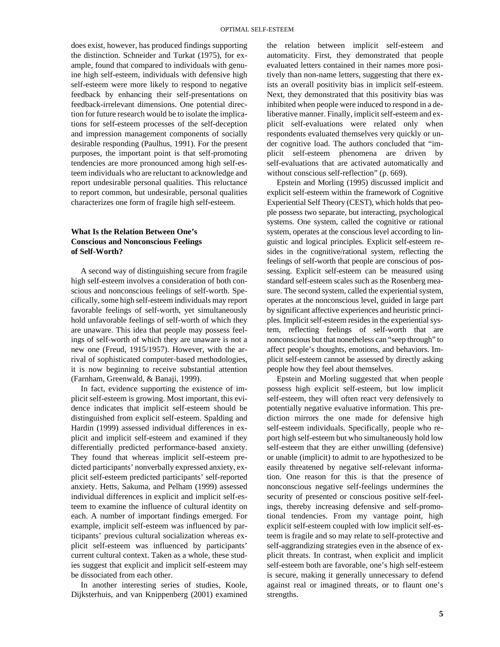does exist, however, has produced findings supporting the distinction. Schneider and Turkat (1975), for example, found that compared to individuals with genuine high self-esteem, individuals with defensive high self-esteem were more likely to respond to negative feedback by enhancing their self-presentations on feedback-irrelevant dimensions. One potential direction for future research would be to isolate the implications for self-esteem processes of the self-deception and impression management components of socially desirable responding (Paulhus, 1991). For the present purposes, the important point is that self-promoting tendencies are more pronounced among high self-esteem individuals who are reluctant to acknowledge and report undesirable personal qualities. This reluctance to report common, but undesirable, personal qualities characterizes one form of fragile high self-esteem.

## **What Is the Relation Between One's Conscious and Nonconscious Feelings of Self-Worth?**

A second way of distinguishing secure from fragile high self-esteem involves a consideration of both conscious and nonconscious feelings of self-worth. Specifically, some high self-esteem individuals may report favorable feelings of self-worth, yet simultaneously hold unfavorable feelings of self-worth of which they are unaware. This idea that people may possess feelings of self-worth of which they are unaware is not a new one (Freud, 1915/1957). However, with the arrival of sophisticated computer-based methodologies, it is now beginning to receive substantial attention (Farnham, Greenwald, & Banaji, 1999).

In fact, evidence supporting the existence of implicit self-esteem is growing. Most important, this evidence indicates that implicit self-esteem should be distinguished from explicit self-esteem. Spalding and Hardin (1999) assessed individual differences in explicit and implicit self-esteem and examined if they differentially predicted performance-based anxiety. They found that whereas implicit self-esteem predicted participants' nonverbally expressed anxiety, explicit self-esteem predicted participants' self-reported anxiety. Hetts, Sakuma, and Pelham (1999) assessed individual differences in explicit and implicit self-esteem to examine the influence of cultural identity on each. A number of important findings emerged. For example, implicit self-esteem was influenced by participants' previous cultural socialization whereas explicit self-esteem was influenced by participants' current cultural context. Taken as a whole, these studies suggest that explicit and implicit self-esteem may be dissociated from each other.

In another interesting series of studies, Koole, Dijksterhuis, and van Knippenberg (2001) examined the relation between implicit self-esteem and automaticity. First, they demonstrated that people evaluated letters contained in their names more positively than non-name letters, suggesting that there exists an overall positivity bias in implicit self-esteem. Next, they demonstrated that this positivity bias was inhibited when people were induced to respond in a deliberative manner. Finally, implicit self-esteem and explicit self-evaluations were related only when respondents evaluated themselves very quickly or under cognitive load. The authors concluded that "implicit self-esteem phenomena are driven by self-evaluations that are activated automatically and without conscious self-reflection" (p. 669).

Epstein and Morling (1995) discussed implicit and explicit self-esteem within the framework of Cognitive Experiential Self Theory (CEST), which holds that people possess two separate, but interacting, psychological systems. One system, called the cognitive or rational system, operates at the conscious level according to linguistic and logical principles. Explicit self-esteem resides in the cognitive/rational system, reflecting the feelings of self-worth that people are conscious of possessing. Explicit self-esteem can be measured using standard self-esteem scales such as the Rosenberg measure. The second system, called the experiential system, operates at the nonconscious level, guided in large part by significant affective experiences and heuristic principles. Implicit self-esteem resides in the experiential system, reflecting feelings of self-worth that are nonconscious but that nonetheless can "seep through" to affect people's thoughts, emotions, and behaviors. Implicit self-esteem cannot be assessed by directly asking people how they feel about themselves.

Epstein and Morling suggested that when people possess high explicit self-esteem, but low implicit self-esteem, they will often react very defensively to potentially negative evaluative information. This prediction mirrors the one made for defensive high self-esteem individuals. Specifically, people who report high self-esteem but who simultaneously hold low self-esteem that they are either unwilling (defensive) or unable (implicit) to admit to are hypothesized to be easily threatened by negative self-relevant information. One reason for this is that the presence of nonconscious negative self-feelings undermines the security of presented or conscious positive self-feelings, thereby increasing defensive and self-promotional tendencies. From my vantage point, high explicit self-esteem coupled with low implicit self-esteem is fragile and so may relate to self-protective and self-aggrandizing strategies even in the absence of explicit threats. In contrast, when explicit and implicit self-esteem both are favorable, one's high self-esteem is secure, making it generally unnecessary to defend against real or imagined threats, or to flaunt one's strengths.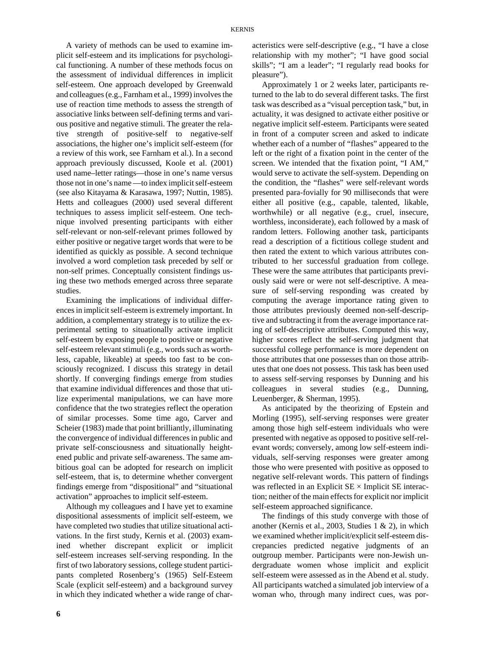A variety of methods can be used to examine implicit self-esteem and its implications for psychological functioning. A number of these methods focus on the assessment of individual differences in implicit self-esteem. One approach developed by Greenwald and colleagues (e.g., Farnham et al., 1999) involves the use of reaction time methods to assess the strength of associative links between self-defining terms and various positive and negative stimuli. The greater the relative strength of positive-self to negative-self associations, the higher one's implicit self-esteem (for a review of this work, see Farnham et al.). In a second approach previously discussed, Koole et al. (2001) used name–letter ratings—those in one's name versus those not in one's name —to index implicit self-esteem (see also Kitayama & Karasawa, 1997; Nuttin, 1985). Hetts and colleagues (2000) used several different techniques to assess implicit self-esteem. One technique involved presenting participants with either self-relevant or non-self-relevant primes followed by either positive or negative target words that were to be identified as quickly as possible. A second technique involved a word completion task preceded by self or non-self primes. Conceptually consistent findings using these two methods emerged across three separate studies.

Examining the implications of individual differences in implicit self-esteem is extremely important. In addition, a complementary strategy is to utilize the experimental setting to situationally activate implicit self-esteem by exposing people to positive or negative self-esteem relevant stimuli (e.g., words such as worthless, capable, likeable) at speeds too fast to be consciously recognized. I discuss this strategy in detail shortly. If converging findings emerge from studies that examine individual differences and those that utilize experimental manipulations, we can have more confidence that the two strategies reflect the operation of similar processes. Some time ago, Carver and Scheier (1983) made that point brilliantly, illuminating the convergence of individual differences in public and private self-consciousness and situationally heightened public and private self-awareness. The same ambitious goal can be adopted for research on implicit self-esteem, that is, to determine whether convergent findings emerge from "dispositional" and "situational activation" approaches to implicit self-esteem.

Although my colleagues and I have yet to examine dispositional assessments of implicit self-esteem, we have completed two studies that utilize situational activations. In the first study, Kernis et al. (2003) examined whether discrepant explicit or implicit self-esteem increases self-serving responding. In the first of two laboratory sessions, college student participants completed Rosenberg's (1965) Self-Esteem Scale (explicit self-esteem) and a background survey in which they indicated whether a wide range of characteristics were self-descriptive (e.g., "I have a close relationship with my mother"; "I have good social skills"; "I am a leader"; "I regularly read books for pleasure").

Approximately 1 or 2 weeks later, participants returned to the lab to do several different tasks. The first task was described as a "visual perception task," but, in actuality, it was designed to activate either positive or negative implicit self-esteem. Participants were seated in front of a computer screen and asked to indicate whether each of a number of "flashes" appeared to the left or the right of a fixation point in the center of the screen. We intended that the fixation point, "I AM," would serve to activate the self-system. Depending on the condition, the "flashes" were self-relevant words presented para-fovially for 90 milliseconds that were either all positive (e.g., capable, talented, likable, worthwhile) or all negative (e.g., cruel, insecure, worthless, inconsiderate), each followed by a mask of random letters. Following another task, participants read a description of a fictitious college student and then rated the extent to which various attributes contributed to her successful graduation from college. These were the same attributes that participants previously said were or were not self-descriptive. A measure of self-serving responding was created by computing the average importance rating given to those attributes previously deemed non-self-descriptive and subtracting it from the average importance rating of self-descriptive attributes. Computed this way, higher scores reflect the self-serving judgment that successful college performance is more dependent on those attributes that one possesses than on those attributes that one does not possess. This task has been used to assess self-serving responses by Dunning and his colleagues in several studies (e.g., Dunning, Leuenberger, & Sherman, 1995).

As anticipated by the theorizing of Epstein and Morling (1995), self-serving responses were greater among those high self-esteem individuals who were presented with negative as opposed to positive self-relevant words; conversely, among low self-esteem individuals, self-serving responses were greater among those who were presented with positive as opposed to negative self-relevant words. This pattern of findings was reflected in an Explicit  $SE \times$  Implicit  $SE$  interaction; neither of the main effects for explicit nor implicit self-esteem approached significance.

The findings of this study converge with those of another (Kernis et al., 2003, Studies 1 & 2), in which we examined whether implicit/explicit self-esteem discrepancies predicted negative judgments of an outgroup member. Participants were non-Jewish undergraduate women whose implicit and explicit self-esteem were assessed as in the Abend et al. study. All participants watched a simulated job interview of a woman who, through many indirect cues, was por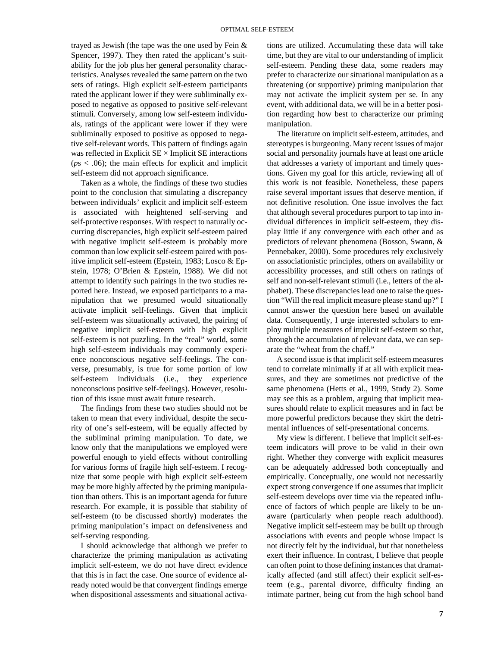trayed as Jewish (the tape was the one used by Fein & Spencer, 1997). They then rated the applicant's suitability for the job plus her general personality characteristics. Analyses revealed the same pattern on the two sets of ratings. High explicit self-esteem participants rated the applicant lower if they were subliminally exposed to negative as opposed to positive self-relevant stimuli. Conversely, among low self-esteem individuals, ratings of the applicant were lower if they were subliminally exposed to positive as opposed to negative self-relevant words. This pattern of findings again was reflected in Explicit  $SE \times$  Implicit  $SE$  interactions  $(ps < .06)$ ; the main effects for explicit and implicit self-esteem did not approach significance.

Taken as a whole, the findings of these two studies point to the conclusion that simulating a discrepancy between individuals' explicit and implicit self-esteem is associated with heightened self-serving and self-protective responses. With respect to naturally occurring discrepancies, high explicit self-esteem paired with negative implicit self-esteem is probably more common than low explicit self-esteem paired with positive implicit self-esteem (Epstein, 1983; Losco & Epstein, 1978; O'Brien & Epstein, 1988). We did not attempt to identify such pairings in the two studies reported here. Instead, we exposed participants to a manipulation that we presumed would situationally activate implicit self-feelings. Given that implicit self-esteem was situationally activated, the pairing of negative implicit self-esteem with high explicit self-esteem is not puzzling. In the "real" world, some high self-esteem individuals may commonly experience nonconscious negative self-feelings. The converse, presumably, is true for some portion of low self-esteem individuals (i.e., they experience nonconscious positive self-feelings). However, resolution of this issue must await future research.

The findings from these two studies should not be taken to mean that every individual, despite the security of one's self-esteem, will be equally affected by the subliminal priming manipulation. To date, we know only that the manipulations we employed were powerful enough to yield effects without controlling for various forms of fragile high self-esteem. I recognize that some people with high explicit self-esteem may be more highly affected by the priming manipulation than others. This is an important agenda for future research. For example, it is possible that stability of self-esteem (to be discussed shortly) moderates the priming manipulation's impact on defensiveness and self-serving responding.

I should acknowledge that although we prefer to characterize the priming manipulation as activating implicit self-esteem, we do not have direct evidence that this is in fact the case. One source of evidence already noted would be that convergent findings emerge when dispositional assessments and situational activations are utilized. Accumulating these data will take time, but they are vital to our understanding of implicit self-esteem. Pending these data, some readers may prefer to characterize our situational manipulation as a threatening (or supportive) priming manipulation that may not activate the implicit system per se. In any event, with additional data, we will be in a better position regarding how best to characterize our priming manipulation.

The literature on implicit self-esteem, attitudes, and stereotypes is burgeoning. Many recent issues of major social and personality journals have at least one article that addresses a variety of important and timely questions. Given my goal for this article, reviewing all of this work is not feasible. Nonetheless, these papers raise several important issues that deserve mention, if not definitive resolution. One issue involves the fact that although several procedures purport to tap into individual differences in implicit self-esteem, they display little if any convergence with each other and as predictors of relevant phenomena (Bosson, Swann, & Pennebaker, 2000). Some procedures rely exclusively on associationistic principles, others on availability or accessibility processes, and still others on ratings of self and non-self-relevant stimuli (i.e., letters of the alphabet). These discrepancies lead one to raise the question "Will the real implicit measure please stand up?" I cannot answer the question here based on available data. Consequently, I urge interested scholars to employ multiple measures of implicit self-esteem so that, through the accumulation of relevant data, we can separate the "wheat from the chaff."

A second issue is that implicit self-esteem measures tend to correlate minimally if at all with explicit measures, and they are sometimes not predictive of the same phenomena (Hetts et al., 1999, Study 2). Some may see this as a problem, arguing that implicit measures should relate to explicit measures and in fact be more powerful predictors because they skirt the detrimental influences of self-presentational concerns.

My view is different. I believe that implicit self-esteem indicators will prove to be valid in their own right. Whether they converge with explicit measures can be adequately addressed both conceptually and empirically. Conceptually, one would not necessarily expect strong convergence if one assumes that implicit self-esteem develops over time via the repeated influence of factors of which people are likely to be unaware (particularly when people reach adulthood). Negative implicit self-esteem may be built up through associations with events and people whose impact is not directly felt by the individual, but that nonetheless exert their influence. In contrast, I believe that people can often point to those defining instances that dramatically affected (and still affect) their explicit self-esteem (e.g., parental divorce, difficulty finding an intimate partner, being cut from the high school band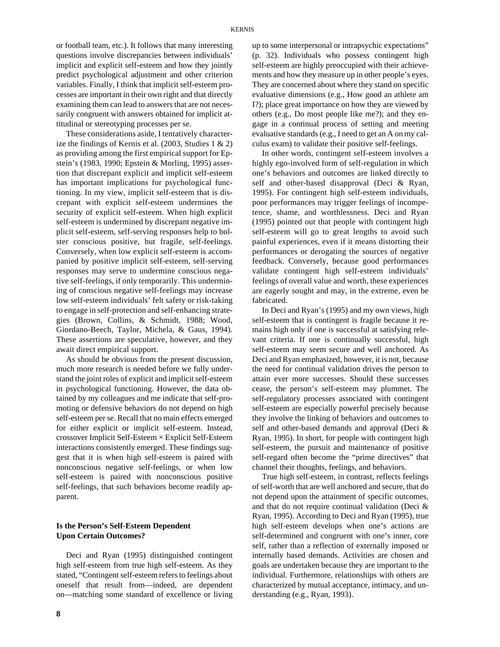or football team, etc.). It follows that many interesting questions involve discrepancies between individuals' implicit and explicit self-esteem and how they jointly predict psychological adjustment and other criterion variables. Finally, I think that implicit self-esteem processes are important in their own right and that directly examining them can lead to answers that are not necessarily congruent with answers obtained for implicit attitudinal or stereotyping processes per se.

These considerations aside, I tentatively characterize the findings of Kernis et al. (2003, Studies 1 & 2) as providing among the first empirical support for Epstein's (1983, 1990; Epstein & Morling, 1995) assertion that discrepant explicit and implicit self-esteem has important implications for psychological functioning. In my view, implicit self-esteem that is discrepant with explicit self-esteem undermines the security of explicit self-esteem. When high explicit self-esteem is undermined by discrepant negative implicit self-esteem, self-serving responses help to bolster conscious positive, but fragile, self-feelings. Conversely, when low explicit self-esteem is accompanied by positive implicit self-esteem, self-serving responses may serve to undermine conscious negative self-feelings, if only temporarily. This undermining of conscious negative self-feelings may increase low self-esteem individuals' felt safety or risk-taking to engage in self-protection and self-enhancing strategies (Brown, Collins, & Schmidt, 1988; Wood, Giordano-Beech, Taylor, Michela, & Gaus, 1994). These assertions are speculative, however, and they await direct empirical support.

As should be obvious from the present discussion, much more research is needed before we fully understand the joint roles of explicit and implicit self-esteem in psychological functioning. However, the data obtained by my colleagues and me indicate that self-promoting or defensive behaviors do not depend on high self-esteem per se. Recall that no main effects emerged for either explicit or implicit self-esteem. Instead, crossover Implicit Self-Esteem × Explicit Self-Esteem interactions consistently emerged. These findings suggest that it is when high self-esteem is paired with nonconscious negative self-feelings, or when low self-esteem is paired with nonconscious positive self-feelings, that such behaviors become readily apparent.

### **Is the Person's Self-Esteem Dependent Upon Certain Outcomes?**

Deci and Ryan (1995) distinguished contingent high self-esteem from true high self-esteem. As they stated, "Contingent self-esteem refers to feelings about oneself that result from—indeed, are dependent on—matching some standard of excellence or living up to some interpersonal or intrapsychic expectations" (p. 32). Individuals who possess contingent high self-esteem are highly preoccupied with their achievements and how they measure up in other people's eyes. They are concerned about where they stand on specific evaluative dimensions (e.g., How good an athlete am I?); place great importance on how they are viewed by others (e.g., Do most people like me?); and they engage in a continual process of setting and meeting evaluative standards (e.g., I need to get an A on my calculus exam) to validate their positive self-feelings.

In other words, contingent self-esteem involves a highly ego-involved form of self-regulation in which one's behaviors and outcomes are linked directly to self and other-based disapproval (Deci & Ryan, 1995). For contingent high self-esteem individuals, poor performances may trigger feelings of incompetence, shame, and worthlessness. Deci and Ryan (1995) pointed out that people with contingent high self-esteem will go to great lengths to avoid such painful experiences, even if it means distorting their performances or derogating the sources of negative feedback. Conversely, because good performances validate contingent high self-esteem individuals' feelings of overall value and worth, these experiences are eagerly sought and may, in the extreme, even be fabricated.

In Deci and Ryan's (1995) and my own views, high self-esteem that is contingent is fragile because it remains high only if one is successful at satisfying relevant criteria. If one is continually successful, high self-esteem may seem secure and well anchored. As Deci and Ryan emphasized, however, it is not, because the need for continual validation drives the person to attain ever more successes. Should these successes cease, the person's self-esteem may plummet. The self-regulatory processes associated with contingent self-esteem are especially powerful precisely because they involve the linking of behaviors and outcomes to self and other-based demands and approval (Deci & Ryan, 1995). In short, for people with contingent high self-esteem, the pursuit and maintenance of positive self-regard often become the "prime directives" that channel their thoughts, feelings, and behaviors.

True high self-esteem, in contrast, reflects feelings of self-worth that are well anchored and secure, that do not depend upon the attainment of specific outcomes, and that do not require continual validation (Deci & Ryan, 1995). According to Deci and Ryan (1995), true high self-esteem develops when one's actions are self-determined and congruent with one's inner, core self, rather than a reflection of externally imposed or internally based demands. Activities are chosen and goals are undertaken because they are important to the individual. Furthermore, relationships with others are characterized by mutual acceptance, intimacy, and understanding (e.g., Ryan, 1993).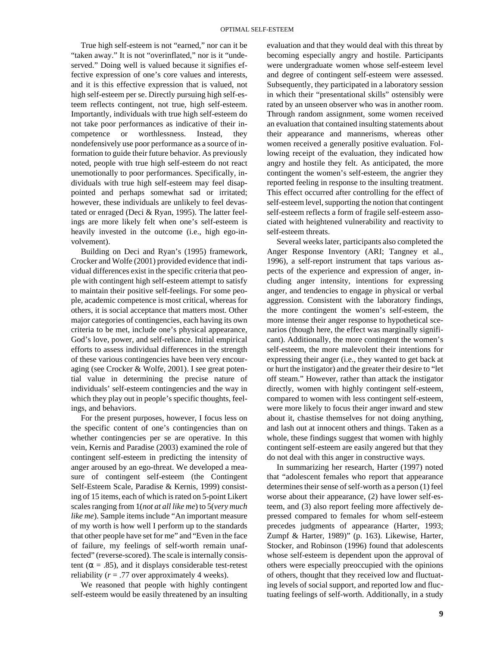True high self-esteem is not "earned," nor can it be "taken away." It is not "overinflated," nor is it "undeserved." Doing well is valued because it signifies effective expression of one's core values and interests, and it is this effective expression that is valued, not high self-esteem per se. Directly pursuing high self-esteem reflects contingent, not true, high self-esteem. Importantly, individuals with true high self-esteem do not take poor performances as indicative of their incompetence or worthlessness. Instead, they nondefensively use poor performance as a source of information to guide their future behavior. As previously noted, people with true high self-esteem do not react unemotionally to poor performances. Specifically, individuals with true high self-esteem may feel disappointed and perhaps somewhat sad or irritated; however, these individuals are unlikely to feel devastated or enraged (Deci & Ryan, 1995). The latter feelings are more likely felt when one's self-esteem is heavily invested in the outcome (i.e., high ego-involvement).

Building on Deci and Ryan's (1995) framework, Crocker and Wolfe (2001) provided evidence that individual differences exist in the specific criteria that people with contingent high self-esteem attempt to satisfy to maintain their positive self-feelings. For some people, academic competence is most critical, whereas for others, it is social acceptance that matters most. Other major categories of contingencies, each having its own criteria to be met, include one's physical appearance, God's love, power, and self-reliance. Initial empirical efforts to assess individual differences in the strength of these various contingencies have been very encouraging (see Crocker & Wolfe, 2001). I see great potential value in determining the precise nature of individuals' self-esteem contingencies and the way in which they play out in people's specific thoughts, feelings, and behaviors.

For the present purposes, however, I focus less on the specific content of one's contingencies than on whether contingencies per se are operative. In this vein, Kernis and Paradise (2003) examined the role of contingent self-esteem in predicting the intensity of anger aroused by an ego-threat. We developed a measure of contingent self-esteem (the Contingent Self-Esteem Scale, Paradise & Kernis, 1999) consisting of 15 items, each of which is rated on 5-point Likert scales ranging from 1(*not at all like me*) to 5(*very much like me*). Sample items include "An important measure of my worth is how well I perform up to the standards that other people have set for me" and "Even in the face of failure, my feelings of self-worth remain unaffected" (reverse-scored). The scale is internally consistent ( $\alpha$  = .85), and it displays considerable test-retest reliability  $(r = .77)$  over approximately 4 weeks).

We reasoned that people with highly contingent self-esteem would be easily threatened by an insulting evaluation and that they would deal with this threat by becoming especially angry and hostile. Participants were undergraduate women whose self-esteem level and degree of contingent self-esteem were assessed. Subsequently, they participated in a laboratory session in which their "presentational skills" ostensibly were rated by an unseen observer who was in another room. Through random assignment, some women received an evaluation that contained insulting statements about their appearance and mannerisms, whereas other women received a generally positive evaluation. Following receipt of the evaluation, they indicated how angry and hostile they felt. As anticipated, the more contingent the women's self-esteem, the angrier they reported feeling in response to the insulting treatment. This effect occurred after controlling for the effect of self-esteem level, supporting the notion that contingent self-esteem reflects a form of fragile self-esteem associated with heightened vulnerability and reactivity to self-esteem threats.

Several weeks later, participants also completed the Anger Response Inventory (ARI; Tangney et al., 1996), a self-report instrument that taps various aspects of the experience and expression of anger, including anger intensity, intentions for expressing anger, and tendencies to engage in physical or verbal aggression. Consistent with the laboratory findings, the more contingent the women's self-esteem, the more intense their anger response to hypothetical scenarios (though here, the effect was marginally significant). Additionally, the more contingent the women's self-esteem, the more malevolent their intentions for expressing their anger (i.e., they wanted to get back at or hurt the instigator) and the greater their desire to "let off steam." However, rather than attack the instigator directly, women with highly contingent self-esteem, compared to women with less contingent self-esteem, were more likely to focus their anger inward and stew about it, chastise themselves for not doing anything, and lash out at innocent others and things. Taken as a whole, these findings suggest that women with highly contingent self-esteem are easily angered but that they do not deal with this anger in constructive ways.

In summarizing her research, Harter (1997) noted that "adolescent females who report that appearance determines their sense of self-worth as a person (1) feel worse about their appearance, (2) have lower self-esteem, and (3) also report feeling more affectively depressed compared to females for whom self-esteem precedes judgments of appearance (Harter, 1993; Zumpf & Harter, 1989)" (p. 163). Likewise, Harter, Stocker, and Robinson (1996) found that adolescents whose self-esteem is dependent upon the approval of others were especially preoccupied with the opinions of others, thought that they received low and fluctuating levels of social support, and reported low and fluctuating feelings of self-worth. Additionally, in a study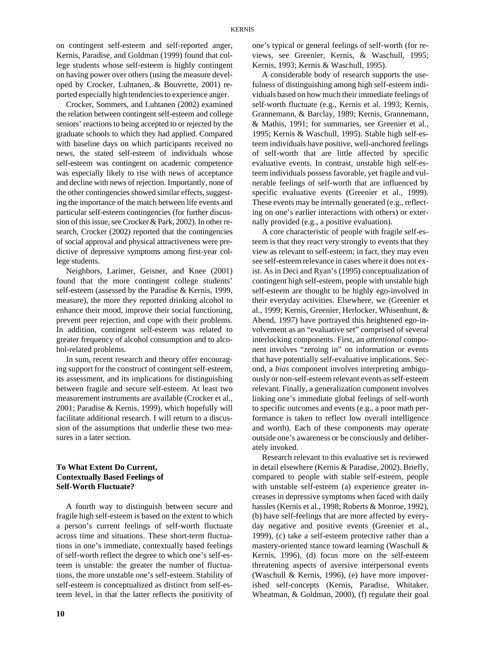on contingent self-esteem and self-reported anger, Kernis, Paradise, and Goldman (1999) found that college students whose self-esteem is highly contingent on having power over others (using the measure developed by Crocker, Luhtanen, & Bouvrette, 2001) reported especially high tendencies to experience anger.

Crocker, Sommers, and Luhtanen (2002) examined the relation between contingent self-esteem and college seniors' reactions to being accepted to or rejected by the graduate schools to which they had applied. Compared with baseline days on which participants received no news, the stated self-esteem of individuals whose self-esteem was contingent on academic competence was especially likely to rise with news of acceptance and decline with news of rejection. Importantly, none of the other contingencies showed similar effects, suggesting the importance of the match between life events and particular self-esteem contingencies (for further discussion of this issue, see Crocker & Park, 2002). In other research, Crocker (2002) reported that the contingencies of social approval and physical attractiveness were predictive of depressive symptoms among first-year college students.

Neighbors, Larimer, Geisner, and Knee (2001) found that the more contingent college students' self-esteem (assessed by the Paradise & Kernis, 1999, measure), the more they reported drinking alcohol to enhance their mood, improve their social functioning, prevent peer rejection, and cope with their problems. In addition, contingent self-esteem was related to greater frequency of alcohol consumption and to alcohol-related problems.

In sum, recent research and theory offer encouraging support for the construct of contingent self-esteem, its assessment, and its implications for distinguishing between fragile and secure self-esteem. At least two measurement instruments are available (Crocker et al., 2001; Paradise & Kernis, 1999), which hopefully will facilitate additional research. I will return to a discussion of the assumptions that underlie these two measures in a later section.

### **To What Extent Do Current, Contextually Based Feelings of Self-Worth Fluctuate?**

A fourth way to distinguish between secure and fragile high self-esteem is based on the extent to which a person's current feelings of self-worth fluctuate across time and situations. These short-term fluctuations in one's immediate, contextually based feelings of self-worth reflect the degree to which one's self-esteem is unstable: the greater the number of fluctuations, the more unstable one's self-esteem. Stability of self-esteem is conceptualized as distinct from self-esteem level, in that the latter reflects the positivity of one's typical or general feelings of self-worth (for reviews, see Greenier, Kernis, & Waschull, 1995; Kernis, 1993; Kernis & Waschull, 1995).

A considerable body of research supports the usefulness of distinguishing among high self-esteem individuals based on how much their immediate feelings of self-worth fluctuate (e.g., Kernis et al. 1993; Kernis, Grannemann, & Barclay, 1989; Kernis, Grannemann, & Mathis, 1991; for summaries, see Greenier et al., 1995; Kernis & Waschull, 1995). Stable high self-esteem individuals have positive, well-anchored feelings of self-worth that are little affected by specific evaluative events. In contrast, unstable high self-esteem individuals possess favorable, yet fragile and vulnerable feelings of self-worth that are influenced by specific evaluative events (Greenier et al., 1999). These events may be internally generated (e.g., reflecting on one's earlier interactions with others) or externally provided (e.g., a positive evaluation).

A core characteristic of people with fragile self-esteem is that they react very strongly to events that they view as relevant to self-esteem; in fact, they may even see self-esteem relevance in cases where it does not exist. As in Deci and Ryan's (1995) conceptualization of contingent high self-esteem, people with unstable high self-esteem are thought to be highly ego-involved in their everyday activities. Elsewhere, we (Greenier et al., 1999; Kernis, Greenier, Herlocker, Whisenhunt, & Abend, 1997) have portrayed this heightened ego-involvement as an "evaluative set" comprised of several interlocking components. First, an *attentional* component involves "zeroing in" on information or events that have potentially self-evaluative implications. Second, a *bias* component involves interpreting ambiguously or non-self-esteem relevant events as self-esteem relevant. Finally, a generalization component involves linking one's immediate global feelings of self-worth to specific outcomes and events (e.g., a poor math performance is taken to reflect low overall intelligence and worth). Each of these components may operate outside one's awareness or be consciously and deliberately invoked.

Research relevant to this evaluative set is reviewed in detail elsewhere (Kernis & Paradise, 2002). Briefly, compared to people with stable self-esteem, people with unstable self-esteem (a) experience greater increases in depressive symptoms when faced with daily hassles (Kernis et al., 1998; Roberts & Monroe, 1992), (b) have self-feelings that are more affected by everyday negative and positive events (Greenier et al., 1999), (c) take a self-esteem protective rather than a mastery-oriented stance toward learning (Waschull & Kernis, 1996), (d) focus more on the self-esteem threatening aspects of aversive interpersonal events (Waschull & Kernis, 1996), (e) have more impoverished self-concepts (Kernis, Paradise, Whitaker, Wheatman, & Goldman, 2000), (f) regulate their goal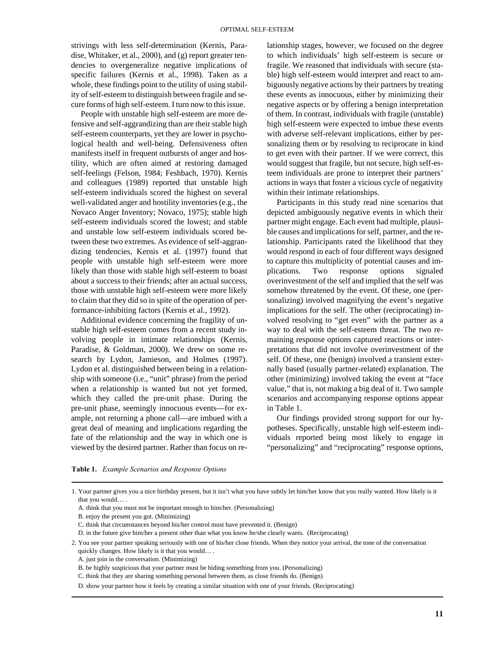strivings with less self-determination (Kernis, Paradise, Whitaker, et al., 2000), and (g) report greater tendencies to overgeneralize negative implications of specific failures (Kernis et al., 1998). Taken as a whole, these findings point to the utility of using stability of self-esteem to distinguish between fragile and secure forms of high self-esteem. I turn now to this issue.

People with unstable high self-esteem are more defensive and self-aggrandizing than are their stable high self-esteem counterparts, yet they are lower in psychological health and well-being. Defensiveness often manifests itself in frequent outbursts of anger and hostility, which are often aimed at restoring damaged self-feelings (Felson, 1984; Feshbach, 1970). Kernis and colleagues (1989) reported that unstable high self-esteem individuals scored the highest on several well-validated anger and hostility inventories (e.g., the Novaco Anger Inventory; Novaco, 1975); stable high self-esteem individuals scored the lowest; and stable and unstable low self-esteem individuals scored between these two extremes. As evidence of self-aggrandizing tendencies, Kernis et al. (1997) found that people with unstable high self-esteem were more likely than those with stable high self-esteem to boast about a success to their friends; after an actual success, those with unstable high self-esteem were more likely to claim that they did so in spite of the operation of performance-inhibiting factors (Kernis et al., 1992).

Additional evidence concerning the fragility of unstable high self-esteem comes from a recent study involving people in intimate relationships (Kernis, Paradise, & Goldman, 2000). We drew on some research by Lydon, Jamieson, and Holmes (1997). Lydon et al. distinguished between being in a relationship with someone (i.e., "unit" phrase) from the period when a relationship is wanted but not yet formed, which they called the pre-unit phase. During the pre-unit phase, seemingly innocuous events—for example, not returning a phone call—are imbued with a great deal of meaning and implications regarding the fate of the relationship and the way in which one is viewed by the desired partner. Rather than focus on relationship stages, however, we focused on the degree to which individuals' high self-esteem is secure or fragile. We reasoned that individuals with secure (stable) high self-esteem would interpret and react to ambiguously negative actions by their partners by treating these events as innocuous, either by minimizing their negative aspects or by offering a benign interpretation of them. In contrast, individuals with fragile (unstable) high self-esteem were expected to imbue these events with adverse self-relevant implications, either by personalizing them or by resolving to reciprocate in kind to get even with their partner. If we were correct, this would suggest that fragile, but not secure, high self-esteem individuals are prone to interpret their partners' actions in ways that foster a vicious cycle of negativity within their intimate relationships.

Participants in this study read nine scenarios that depicted ambiguously negative events in which their partner might engage. Each event had multiple, plausible causes and implications for self, partner, and the relationship. Participants rated the likelihood that they would respond in each of four different ways designed to capture this multiplicity of potential causes and implications. Two response options signaled overinvestment of the self and implied that the self was somehow threatened by the event. Of these, one (personalizing) involved magnifying the event's negative implications for the self. The other (reciprocating) involved resolving to "get even" with the partner as a way to deal with the self-esteem threat. The two remaining response options captured reactions or interpretations that did not involve overinvestment of the self. Of these, one (benign) involved a transient externally based (usually partner-related) explanation. The other (minimizing) involved taking the event at "face value," that is, not making a big deal of it. Two sample scenarios and accompanying response options appear in Table 1.

Our findings provided strong support for our hypotheses. Specifically, unstable high self-esteem individuals reported being most likely to engage in "personalizing" and "reciprocating" response options,

**Table 1.** *Example Scenarios and Response Options*

<sup>1.</sup> Your partner gives you a nice birthday present, but it isn't what you have subtly let him/her know that you really wanted. How likely is it that you would… .

A. think that you must not be important enough to him/her. (Personalizing)

B. enjoy the present you got. (Minimizing)

C. think that circumstances beyond his/her control must have prevented it. (Benign)

D. in the future give him/her a present other than what you know he/she clearly wants. (Reciprocating)

<sup>2.</sup> You see your partner speaking seriously with one of his/her close friends. When they notice your arrival, the tone of the conversation quickly changes. How likely is it that you would… .

A. just join in the conversation. (Minimizing)

B. be highly suspicious that your partner must be hiding something from you. (Personalizing)

C. think that they are sharing something personal between them, as close friends do. (Benign)

D. show your partner how it feels by creating a similar situation with one of your friends. (Reciprocating)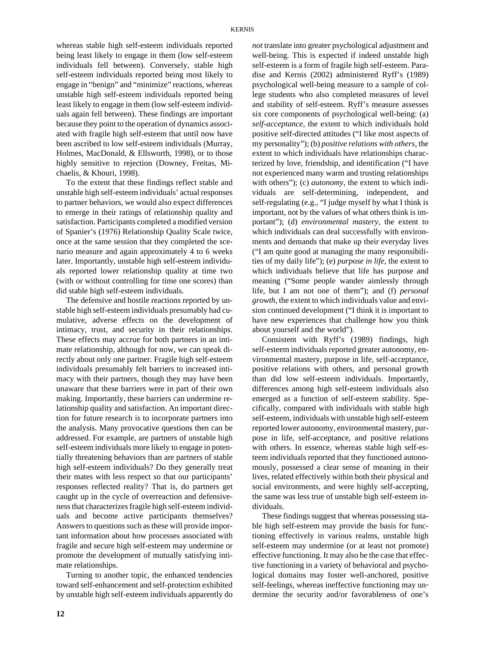whereas stable high self-esteem individuals reported being least likely to engage in them (low self-esteem individuals fell between). Conversely, stable high self-esteem individuals reported being most likely to engage in "benign" and "minimize" reactions, whereas unstable high self-esteem individuals reported being least likely to engage in them (low self-esteem individuals again fell between). These findings are important because they point to the operation of dynamics associated with fragile high self-esteem that until now have been ascribed to low self-esteem individuals (Murray, Holmes, MacDonald, & Ellsworth, 1998), or to those highly sensitive to rejection (Downey, Freitas, Michaelis, & Khouri, 1998).

To the extent that these findings reflect stable and unstable high self-esteem individuals' actual responses to partner behaviors, we would also expect differences to emerge in their ratings of relationship quality and satisfaction. Participants completed a modified version of Spanier's (1976) Relationship Quality Scale twice, once at the same session that they completed the scenario measure and again approximately 4 to 6 weeks later. Importantly, unstable high self-esteem individuals reported lower relationship quality at time two (with or without controlling for time one scores) than did stable high self-esteem individuals.

The defensive and hostile reactions reported by unstable high self-esteem individuals presumably had cumulative, adverse effects on the development of intimacy, trust, and security in their relationships. These effects may accrue for both partners in an intimate relationship, although for now, we can speak directly about only one partner. Fragile high self-esteem individuals presumably felt barriers to increased intimacy with their partners, though they may have been unaware that these barriers were in part of their own making. Importantly, these barriers can undermine relationship quality and satisfaction. An important direction for future research is to incorporate partners into the analysis. Many provocative questions then can be addressed. For example, are partners of unstable high self-esteem individuals more likely to engage in potentially threatening behaviors than are partners of stable high self-esteem individuals? Do they generally treat their mates with less respect so that our participants' responses reflected reality? That is, do partners get caught up in the cycle of overreaction and defensiveness that characterizes fragile high self-esteem individuals and become active participants themselves? Answers to questions such as these will provide important information about how processes associated with fragile and secure high self-esteem may undermine or promote the development of mutually satisfying intimate relationships.

Turning to another topic, the enhanced tendencies toward self-enhancement and self-protection exhibited by unstable high self-esteem individuals apparently do *not* translate into greater psychological adjustment and well-being. This is expected if indeed unstable high self-esteem is a form of fragile high self-esteem. Paradise and Kernis (2002) administered Ryff's (1989) psychological well-being measure to a sample of college students who also completed measures of level and stability of self-esteem. Ryff's measure assesses six core components of psychological well-being: (a) *self-acceptance*, the extent to which individuals hold positive self-directed attitudes ("I like most aspects of my personality"); (b) *positive relations with others*, the extent to which individuals have relationships characterized by love, friendship, and identification ("I have not experienced many warm and trusting relationships with others"); (c) *autonomy*, the extent to which individuals are self-determining, independent, and self-regulating (e.g., "I judge myself by what I think is important, not by the values of what others think is important"); (d) *environmental mastery*, the extent to which individuals can deal successfully with environments and demands that make up their everyday lives ("I am quite good at managing the many responsibilities of my daily life"); (e) *purpose in life*, the extent to which individuals believe that life has purpose and meaning ("Some people wander aimlessly through life, but I am not one of them"); and (f) *personal growth*, the extent to which individuals value and envision continued development ("I think it is important to have new experiences that challenge how you think about yourself and the world").

Consistent with Ryff's (1989) findings, high self-esteem individuals reported greater autonomy, environmental mastery, purpose in life, self-acceptance, positive relations with others, and personal growth than did low self-esteem individuals. Importantly, differences among high self-esteem individuals also emerged as a function of self-esteem stability. Specifically, compared with individuals with stable high self-esteem, individuals with unstable high self-esteem reported lower autonomy, environmental mastery, purpose in life, self-acceptance, and positive relations with others. In essence, whereas stable high self-esteem individuals reported that they functioned autonomously, possessed a clear sense of meaning in their lives, related effectively within both their physical and social environments, and were highly self-accepting, the same was less true of unstable high self-esteem individuals.

These findings suggest that whereas possessing stable high self-esteem may provide the basis for functioning effectively in various realms, unstable high self-esteem may undermine (or at least not promote) effective functioning. It may also be the case that effective functioning in a variety of behavioral and psychological domains may foster well-anchored, positive self-feelings, whereas ineffective functioning may undermine the security and/or favorableness of one's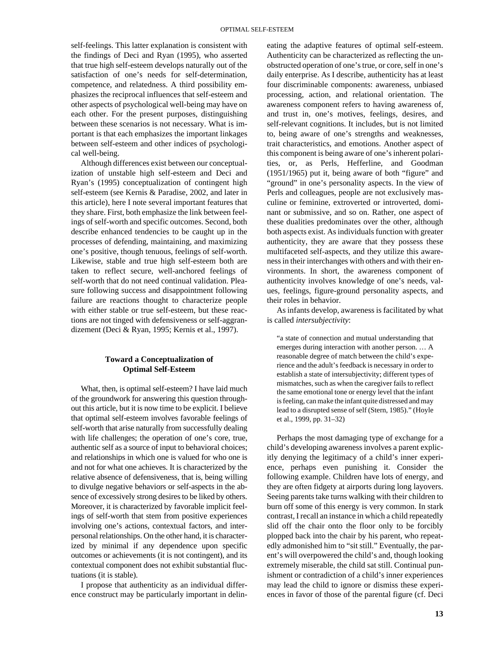self-feelings. This latter explanation is consistent with the findings of Deci and Ryan (1995), who asserted that true high self-esteem develops naturally out of the satisfaction of one's needs for self-determination, competence, and relatedness. A third possibility emphasizes the reciprocal influences that self-esteem and other aspects of psychological well-being may have on each other. For the present purposes, distinguishing between these scenarios is not necessary. What is important is that each emphasizes the important linkages between self-esteem and other indices of psychological well-being.

Although differences exist between our conceptualization of unstable high self-esteem and Deci and Ryan's (1995) conceptualization of contingent high self-esteem (see Kernis & Paradise, 2002, and later in this article), here I note several important features that they share. First, both emphasize the link between feelings of self-worth and specific outcomes. Second, both describe enhanced tendencies to be caught up in the processes of defending, maintaining, and maximizing one's positive, though tenuous, feelings of self-worth. Likewise, stable and true high self-esteem both are taken to reflect secure, well-anchored feelings of self-worth that do not need continual validation. Pleasure following success and disappointment following failure are reactions thought to characterize people with either stable or true self-esteem, but these reactions are not tinged with defensiveness or self-aggrandizement (Deci & Ryan, 1995; Kernis et al., 1997).

### **Toward a Conceptualization of Optimal Self-Esteem**

What, then, is optimal self-esteem? I have laid much of the groundwork for answering this question throughout this article, but it is now time to be explicit. I believe that optimal self-esteem involves favorable feelings of self-worth that arise naturally from successfully dealing with life challenges; the operation of one's core, true, authentic self as a source of input to behavioral choices; and relationships in which one is valued for who one is and not for what one achieves. It is characterized by the relative absence of defensiveness, that is, being willing to divulge negative behaviors or self-aspects in the absence of excessively strong desires to be liked by others. Moreover, it is characterized by favorable implicit feelings of self-worth that stem from positive experiences involving one's actions, contextual factors, and interpersonal relationships. On the other hand, it is characterized by minimal if any dependence upon specific outcomes or achievements (it is not contingent), and its contextual component does not exhibit substantial fluctuations (it is stable).

I propose that authenticity as an individual difference construct may be particularly important in delineating the adaptive features of optimal self-esteem. Authenticity can be characterized as reflecting the unobstructed operation of one's true, or core, self in one's daily enterprise. As I describe, authenticity has at least four discriminable components: awareness, unbiased processing, action, and relational orientation. The awareness component refers to having awareness of, and trust in, one's motives, feelings, desires, and self-relevant cognitions. It includes, but is not limited to, being aware of one's strengths and weaknesses, trait characteristics, and emotions. Another aspect of this component is being aware of one's inherent polarities, or, as Perls, Hefferline, and Goodman (1951/1965) put it, being aware of both "figure" and "ground" in one's personality aspects. In the view of Perls and colleagues, people are not exclusively masculine or feminine, extroverted or introverted, dominant or submissive, and so on. Rather, one aspect of these dualities predominates over the other, although both aspects exist. As individuals function with greater authenticity, they are aware that they possess these multifaceted self-aspects, and they utilize this awareness in their interchanges with others and with their environments. In short, the awareness component of authenticity involves knowledge of one's needs, values, feelings, figure-ground personality aspects, and their roles in behavior.

As infants develop, awareness is facilitated by what is called *intersubjectivity*:

"a state of connection and mutual understanding that emerges during interaction with another person. … A reasonable degree of match between the child's experience and the adult's feedback is necessary in order to establish a state of intersubjectivity; different types of mismatches, such as when the caregiver fails to reflect the same emotional tone or energy level that the infant is feeling, can make the infant quite distressed and may lead to a disrupted sense of self (Stern, 1985)." (Hoyle et al., 1999, pp. 31–32)

Perhaps the most damaging type of exchange for a child's developing awareness involves a parent explicitly denying the legitimacy of a child's inner experience, perhaps even punishing it. Consider the following example. Children have lots of energy, and they are often fidgety at airports during long layovers. Seeing parents take turns walking with their children to burn off some of this energy is very common. In stark contrast, I recall an instance in which a child repeatedly slid off the chair onto the floor only to be forcibly plopped back into the chair by his parent, who repeatedly admonished him to "sit still." Eventually, the parent's will overpowered the child's and, though looking extremely miserable, the child sat still. Continual punishment or contradiction of a child's inner experiences may lead the child to ignore or dismiss these experiences in favor of those of the parental figure (cf. Deci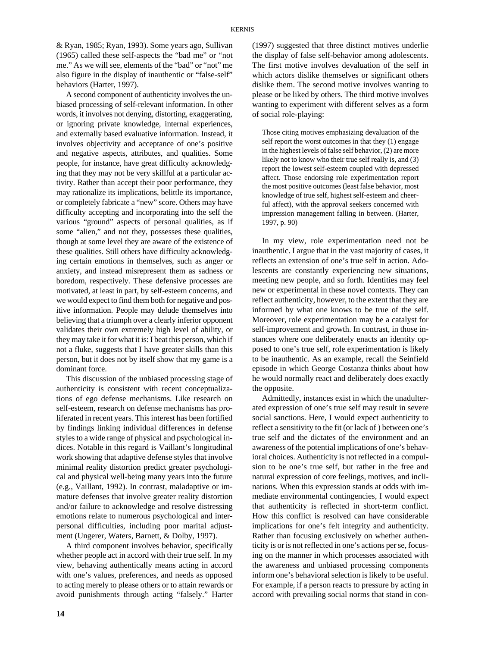& Ryan, 1985; Ryan, 1993). Some years ago, Sullivan (1965) called these self-aspects the "bad me" or "not me." As we will see, elements of the "bad" or "not" me also figure in the display of inauthentic or "false-self" behaviors (Harter, 1997).

A second component of authenticity involves the unbiased processing of self-relevant information. In other words, it involves not denying, distorting, exaggerating, or ignoring private knowledge, internal experiences, and externally based evaluative information. Instead, it involves objectivity and acceptance of one's positive and negative aspects, attributes, and qualities. Some people, for instance, have great difficulty acknowledging that they may not be very skillful at a particular activity. Rather than accept their poor performance, they may rationalize its implications, belittle its importance, or completely fabricate a "new" score. Others may have difficulty accepting and incorporating into the self the various "ground" aspects of personal qualities, as if some "alien," and not they, possesses these qualities, though at some level they are aware of the existence of these qualities. Still others have difficulty acknowledging certain emotions in themselves, such as anger or anxiety, and instead misrepresent them as sadness or boredom, respectively. These defensive processes are motivated, at least in part, by self-esteem concerns, and we would expect to find them both for negative and positive information. People may delude themselves into believing that a triumph over a clearly inferior opponent validates their own extremely high level of ability, or they may take it for what it is: I beat this person, which if not a fluke, suggests that I have greater skills than this person, but it does not by itself show that my game is a dominant force.

This discussion of the unbiased processing stage of authenticity is consistent with recent conceptualizations of ego defense mechanisms. Like research on self-esteem, research on defense mechanisms has proliferated in recent years. This interest has been fortified by findings linking individual differences in defense styles to a wide range of physical and psychological indices. Notable in this regard is Vaillant's longitudinal work showing that adaptive defense styles that involve minimal reality distortion predict greater psychological and physical well-being many years into the future (e.g., Vaillant, 1992). In contrast, maladaptive or immature defenses that involve greater reality distortion and/or failure to acknowledge and resolve distressing emotions relate to numerous psychological and interpersonal difficulties, including poor marital adjustment (Ungerer, Waters, Barnett, & Dolby, 1997).

A third component involves behavior, specifically whether people act in accord with their true self. In my view, behaving authentically means acting in accord with one's values, preferences, and needs as opposed to acting merely to please others or to attain rewards or avoid punishments through acting "falsely." Harter (1997) suggested that three distinct motives underlie the display of false self-behavior among adolescents. The first motive involves devaluation of the self in which actors dislike themselves or significant others dislike them. The second motive involves wanting to please or be liked by others. The third motive involves wanting to experiment with different selves as a form of social role-playing:

Those citing motives emphasizing devaluation of the self report the worst outcomes in that they (1) engage in the highest levels of false self behavior, (2) are more likely not to know who their true self really is, and (3) report the lowest self-esteem coupled with depressed affect. Those endorsing role experimentation report the most positive outcomes (least false behavior, most knowledge of true self, highest self-esteem and cheerful affect), with the approval seekers concerned with impression management falling in between. (Harter, 1997, p. 90)

In my view, role experimentation need not be inauthentic. I argue that in the vast majority of cases, it reflects an extension of one's true self in action. Adolescents are constantly experiencing new situations, meeting new people, and so forth. Identities may feel new or experimental in these novel contexts. They can reflect authenticity, however, to the extent that they are informed by what one knows to be true of the self. Moreover, role experimentation may be a catalyst for self-improvement and growth. In contrast, in those instances where one deliberately enacts an identity opposed to one's true self, role experimentation is likely to be inauthentic. As an example, recall the Seinfield episode in which George Costanza thinks about how he would normally react and deliberately does exactly the opposite.

Admittedly, instances exist in which the unadulterated expression of one's true self may result in severe social sanctions. Here, I would expect authenticity to reflect a sensitivity to the fit (or lack of ) between one's true self and the dictates of the environment and an awareness of the potential implications of one's behavioral choices. Authenticity is not reflected in a compulsion to be one's true self, but rather in the free and natural expression of core feelings, motives, and inclinations. When this expression stands at odds with immediate environmental contingencies, I would expect that authenticity is reflected in short-term conflict. How this conflict is resolved can have considerable implications for one's felt integrity and authenticity. Rather than focusing exclusively on whether authenticity is or is not reflected in one's actions per se, focusing on the manner in which processes associated with the awareness and unbiased processing components inform one's behavioral selection is likely to be useful. For example, if a person reacts to pressure by acting in accord with prevailing social norms that stand in con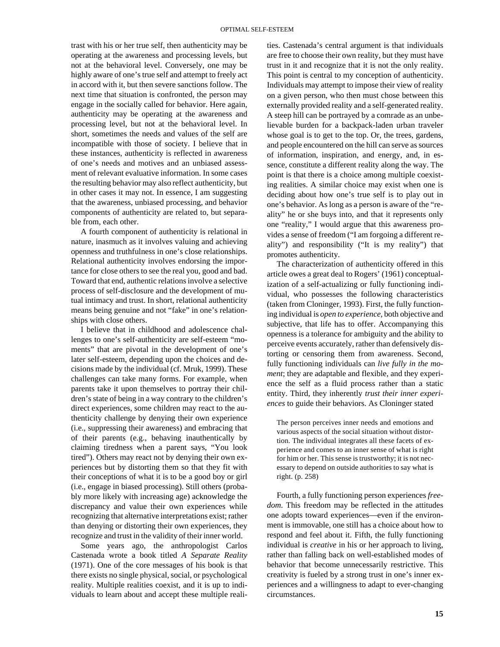trast with his or her true self, then authenticity may be operating at the awareness and processing levels, but not at the behavioral level. Conversely, one may be highly aware of one's true self and attempt to freely act in accord with it, but then severe sanctions follow. The next time that situation is confronted, the person may engage in the socially called for behavior. Here again, authenticity may be operating at the awareness and processing level, but not at the behavioral level. In short, sometimes the needs and values of the self are incompatible with those of society. I believe that in these instances, authenticity is reflected in awareness of one's needs and motives and an unbiased assessment of relevant evaluative information. In some cases the resulting behavior may also reflect authenticity, but in other cases it may not. In essence, I am suggesting that the awareness, unbiased processing, and behavior components of authenticity are related to, but separable from, each other.

A fourth component of authenticity is relational in nature, inasmuch as it involves valuing and achieving openness and truthfulness in one's close relationships. Relational authenticity involves endorsing the importance for close others to see the real you, good and bad. Toward that end, authentic relations involve a selective process of self-disclosure and the development of mutual intimacy and trust. In short, relational authenticity means being genuine and not "fake" in one's relationships with close others.

I believe that in childhood and adolescence challenges to one's self-authenticity are self-esteem "moments" that are pivotal in the development of one's later self-esteem, depending upon the choices and decisions made by the individual (cf. Mruk, 1999). These challenges can take many forms. For example, when parents take it upon themselves to portray their children's state of being in a way contrary to the children's direct experiences, some children may react to the authenticity challenge by denying their own experience (i.e., suppressing their awareness) and embracing that of their parents (e.g., behaving inauthentically by claiming tiredness when a parent says, "You look tired"). Others may react not by denying their own experiences but by distorting them so that they fit with their conceptions of what it is to be a good boy or girl (i.e., engage in biased processing). Still others (probably more likely with increasing age) acknowledge the discrepancy and value their own experiences while recognizing that alternative interpretations exist; rather than denying or distorting their own experiences, they recognize and trust in the validity of their inner world.

Some years ago, the anthropologist Carlos Castenada wrote a book titled *A Separate Reality* (1971). One of the core messages of his book is that there exists no single physical, social, or psychological reality. Multiple realities coexist, and it is up to individuals to learn about and accept these multiple realities. Castenada's central argument is that individuals are free to choose their own reality, but they must have trust in it and recognize that it is not the only reality. This point is central to my conception of authenticity. Individuals may attempt to impose their view of reality on a given person, who then must chose between this externally provided reality and a self-generated reality. A steep hill can be portrayed by a comrade as an unbelievable burden for a backpack-laden urban traveler whose goal is to get to the top. Or, the trees, gardens, and people encountered on the hill can serve as sources of information, inspiration, and energy, and, in essence, constitute a different reality along the way. The point is that there is a choice among multiple coexisting realities. A similar choice may exist when one is deciding about how one's true self is to play out in one's behavior. As long as a person is aware of the "reality" he or she buys into, and that it represents only one "reality," I would argue that this awareness provides a sense of freedom ("I am forgoing a different reality") and responsibility ("It is my reality") that promotes authenticity.

The characterization of authenticity offered in this article owes a great deal to Rogers' (1961) conceptualization of a self-actualizing or fully functioning individual, who possesses the following characteristics (taken from Cloninger, 1993). First, the fully functioning individual is *open to experience*, both objective and subjective, that life has to offer. Accompanying this openness is a tolerance for ambiguity and the ability to perceive events accurately, rather than defensively distorting or censoring them from awareness. Second, fully functioning individuals can *live fully in the moment*; they are adaptable and flexible, and they experience the self as a fluid process rather than a static entity. Third, they inherently *trust their inner experiences* to guide their behaviors. As Cloninger stated

The person perceives inner needs and emotions and various aspects of the social situation without distortion. The individual integrates all these facets of experience and comes to an inner sense of what is right for him or her. This sense is trustworthy; it is not necessary to depend on outside authorities to say what is right. (p. 258)

Fourth, a fully functioning person experiences *freedom*. This freedom may be reflected in the attitudes one adopts toward experiences—even if the environment is immovable, one still has a choice about how to respond and feel about it. Fifth, the fully functioning individual is *creative* in his or her approach to living, rather than falling back on well-established modes of behavior that become unnecessarily restrictive. This creativity is fueled by a strong trust in one's inner experiences and a willingness to adapt to ever-changing circumstances.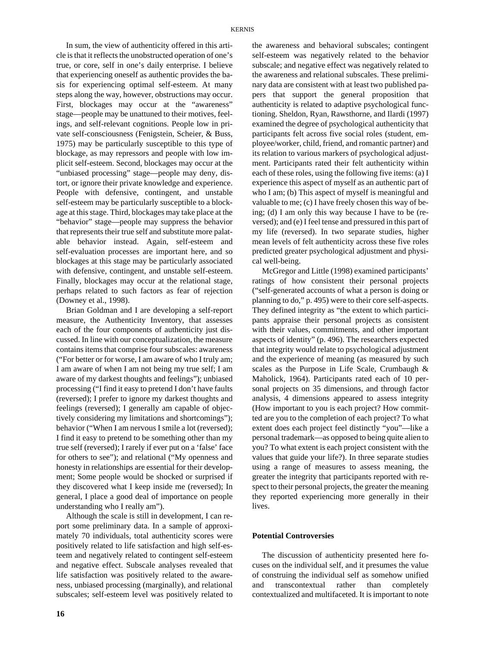In sum, the view of authenticity offered in this article is that it reflects the unobstructed operation of one's true, or core, self in one's daily enterprise. I believe that experiencing oneself as authentic provides the basis for experiencing optimal self-esteem. At many steps along the way, however, obstructions may occur. First, blockages may occur at the "awareness" stage—people may be unattuned to their motives, feelings, and self-relevant cognitions. People low in private self-consciousness (Fenigstein, Scheier, & Buss, 1975) may be particularly susceptible to this type of blockage, as may repressors and people with low implicit self-esteem. Second, blockages may occur at the "unbiased processing" stage—people may deny, distort, or ignore their private knowledge and experience. People with defensive, contingent, and unstable self-esteem may be particularly susceptible to a blockage at this stage. Third, blockages may take place at the "behavior" stage—people may suppress the behavior that represents their true self and substitute more palatable behavior instead. Again, self-esteem and self-evaluation processes are important here, and so blockages at this stage may be particularly associated with defensive, contingent, and unstable self-esteem. Finally, blockages may occur at the relational stage, perhaps related to such factors as fear of rejection (Downey et al., 1998).

Brian Goldman and I are developing a self-report measure, the Authenticity Inventory, that assesses each of the four components of authenticity just discussed. In line with our conceptualization, the measure contains items that comprise four subscales: awareness ("For better or for worse, I am aware of who I truly am; I am aware of when I am not being my true self; I am aware of my darkest thoughts and feelings"); unbiased processing ("I find it easy to pretend I don't have faults (reversed); I prefer to ignore my darkest thoughts and feelings (reversed); I generally am capable of objectively considering my limitations and shortcomings"); behavior ("When I am nervous I smile a lot (reversed); I find it easy to pretend to be something other than my true self (reversed); I rarely if ever put on a 'false' face for others to see"); and relational ("My openness and honesty in relationships are essential for their development; Some people would be shocked or surprised if they discovered what I keep inside me (reversed); In general, I place a good deal of importance on people understanding who I really am").

Although the scale is still in development, I can report some preliminary data. In a sample of approximately 70 individuals, total authenticity scores were positively related to life satisfaction and high self-esteem and negatively related to contingent self-esteem and negative effect. Subscale analyses revealed that life satisfaction was positively related to the awareness, unbiased processing (marginally), and relational subscales; self-esteem level was positively related to the awareness and behavioral subscales; contingent self-esteem was negatively related to the behavior subscale; and negative effect was negatively related to the awareness and relational subscales. These preliminary data are consistent with at least two published papers that support the general proposition that authenticity is related to adaptive psychological functioning. Sheldon, Ryan, Rawsthorne, and Ilardi (1997) examined the degree of psychological authenticity that participants felt across five social roles (student, employee/worker, child, friend, and romantic partner) and its relation to various markers of psychological adjustment. Participants rated their felt authenticity within each of these roles, using the following five items: (a) I experience this aspect of myself as an authentic part of who I am; (b) This aspect of myself is meaningful and valuable to me; (c) I have freely chosen this way of being; (d) I am only this way because I have to be (reversed); and (e) I feel tense and pressured in this part of my life (reversed). In two separate studies, higher mean levels of felt authenticity across these five roles predicted greater psychological adjustment and physical well-being.

McGregor and Little (1998) examined participants' ratings of how consistent their personal projects ("self-generated accounts of what a person is doing or planning to do," p. 495) were to their core self-aspects. They defined integrity as "the extent to which participants appraise their personal projects as consistent with their values, commitments, and other important aspects of identity" (p. 496). The researchers expected that integrity would relate to psychological adjustment and the experience of meaning (as measured by such scales as the Purpose in Life Scale, Crumbaugh & Maholick, 1964). Participants rated each of 10 personal projects on 35 dimensions, and through factor analysis, 4 dimensions appeared to assess integrity (How important to you is each project? How committed are you to the completion of each project? To what extent does each project feel distinctly "you"—like a personal trademark—as opposed to being quite alien to you? To what extent is each project consistent with the values that guide your life?). In three separate studies using a range of measures to assess meaning, the greater the integrity that participants reported with respect to their personal projects, the greater the meaning they reported experiencing more generally in their lives.

#### **Potential Controversies**

The discussion of authenticity presented here focuses on the individual self, and it presumes the value of construing the individual self as somehow unified and transcontextual rather than completely contextualized and multifaceted. It is important to note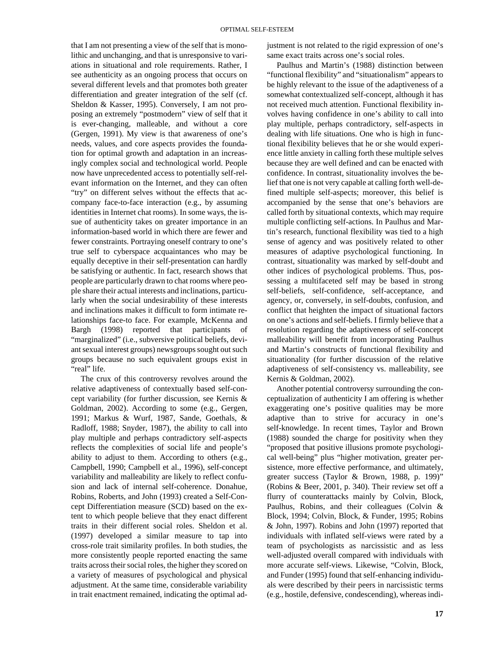that I am not presenting a view of the self that is monolithic and unchanging, and that is unresponsive to variations in situational and role requirements. Rather, I see authenticity as an ongoing process that occurs on several different levels and that promotes both greater differentiation and greater integration of the self (cf. Sheldon & Kasser, 1995). Conversely, I am not proposing an extremely "postmodern" view of self that it is ever-changing, malleable, and without a core (Gergen, 1991). My view is that awareness of one's needs, values, and core aspects provides the foundation for optimal growth and adaptation in an increasingly complex social and technological world. People now have unprecedented access to potentially self-relevant information on the Internet, and they can often "try" on different selves without the effects that accompany face-to-face interaction (e.g., by assuming identities in Internet chat rooms). In some ways, the issue of authenticity takes on greater importance in an information-based world in which there are fewer and fewer constraints. Portraying oneself contrary to one's true self to cyberspace acquaintances who may be equally deceptive in their self-presentation can hardly be satisfying or authentic. In fact, research shows that people are particularly drawn to chat rooms where people share their actual interests and inclinations, particularly when the social undesirability of these interests and inclinations makes it difficult to form intimate relationships face-to face. For example, McKenna and Bargh (1998) reported that participants of "marginalized" (i.e., subversive political beliefs, deviant sexual interest groups) newsgroups sought out such groups because no such equivalent groups exist in "real" life.

The crux of this controversy revolves around the relative adaptiveness of contextually based self-concept variability (for further discussion, see Kernis & Goldman, 2002). According to some (e.g., Gergen, 1991; Markus & Wurf, 1987, Sande, Goethals, & Radloff, 1988; Snyder, 1987), the ability to call into play multiple and perhaps contradictory self-aspects reflects the complexities of social life and people's ability to adjust to them. According to others (e.g., Campbell, 1990; Campbell et al., 1996), self-concept variability and malleability are likely to reflect confusion and lack of internal self-coherence. Donahue, Robins, Roberts, and John (1993) created a Self-Concept Differentiation measure (SCD) based on the extent to which people believe that they enact different traits in their different social roles. Sheldon et al. (1997) developed a similar measure to tap into cross-role trait similarity profiles. In both studies, the more consistently people reported enacting the same traits across their social roles, the higher they scored on a variety of measures of psychological and physical adjustment. At the same time, considerable variability in trait enactment remained, indicating the optimal adjustment is not related to the rigid expression of one's same exact traits across one's social roles.

Paulhus and Martin's (1988) distinction between "functional flexibility" and "situationalism" appears to be highly relevant to the issue of the adaptiveness of a somewhat contextualized self-concept, although it has not received much attention. Functional flexibility involves having confidence in one's ability to call into play multiple, perhaps contradictory, self-aspects in dealing with life situations. One who is high in functional flexibility believes that he or she would experience little anxiety in calling forth these multiple selves because they are well defined and can be enacted with confidence. In contrast, situationality involves the belief that one is not very capable at calling forth well-defined multiple self-aspects; moreover, this belief is accompanied by the sense that one's behaviors are called forth by situational contexts, which may require multiple conflicting self-actions. In Paulhus and Martin's research, functional flexibility was tied to a high sense of agency and was positively related to other measures of adaptive psychological functioning. In contrast, situationality was marked by self-doubt and other indices of psychological problems. Thus, possessing a multifaceted self may be based in strong self-beliefs, self-confidence, self-acceptance, and agency, or, conversely, in self-doubts, confusion, and conflict that heighten the impact of situational factors on one's actions and self-beliefs. I firmly believe that a resolution regarding the adaptiveness of self-concept malleability will benefit from incorporating Paulhus and Martin's constructs of functional flexibility and situationality (for further discussion of the relative adaptiveness of self-consistency vs. malleability, see Kernis & Goldman, 2002).

Another potential controversy surrounding the conceptualization of authenticity I am offering is whether exaggerating one's positive qualities may be more adaptive than to strive for accuracy in one's self-knowledge. In recent times, Taylor and Brown (1988) sounded the charge for positivity when they "proposed that positive illusions promote psychological well-being" plus "higher motivation, greater persistence, more effective performance, and ultimately, greater success (Taylor & Brown, 1988, p. 199)" (Robins & Beer, 2001, p. 340). Their review set off a flurry of counterattacks mainly by Colvin, Block, Paulhus, Robins, and their colleagues (Colvin & Block, 1994; Colvin, Block, & Funder, 1995; Robins & John, 1997). Robins and John (1997) reported that individuals with inflated self-views were rated by a team of psychologists as narcissistic and as less well-adjusted overall compared with individuals with more accurate self-views. Likewise, "Colvin, Block, and Funder (1995) found that self-enhancing individuals were described by their peers in narcissistic terms (e.g., hostile, defensive, condescending), whereas indi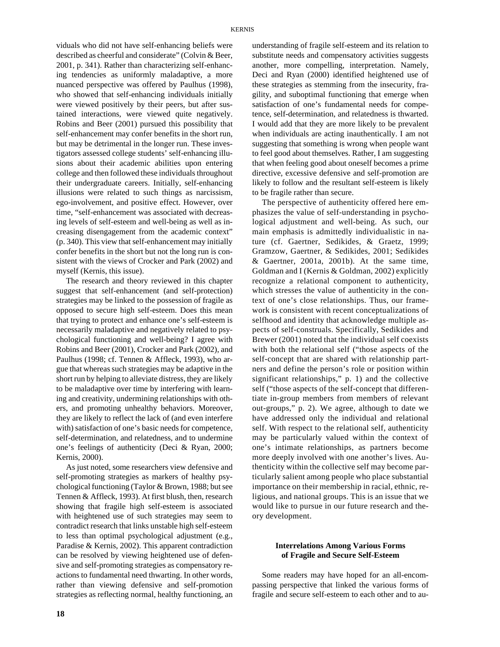viduals who did not have self-enhancing beliefs were described as cheerful and considerate" (Colvin & Beer, 2001, p. 341). Rather than characterizing self-enhancing tendencies as uniformly maladaptive, a more nuanced perspective was offered by Paulhus (1998), who showed that self-enhancing individuals initially were viewed positively by their peers, but after sustained interactions, were viewed quite negatively. Robins and Beer (2001) pursued this possibility that self-enhancement may confer benefits in the short run, but may be detrimental in the longer run. These investigators assessed college students' self-enhancing illusions about their academic abilities upon entering college and then followed these individuals throughout their undergraduate careers. Initially, self-enhancing illusions were related to such things as narcissism, ego-involvement, and positive effect. However, over time, "self-enhancement was associated with decreasing levels of self-esteem and well-being as well as increasing disengagement from the academic context" (p. 340). This view that self-enhancement may initially confer benefits in the short but not the long run is consistent with the views of Crocker and Park (2002) and myself (Kernis, this issue).

The research and theory reviewed in this chapter suggest that self-enhancement (and self-protection) strategies may be linked to the possession of fragile as opposed to secure high self-esteem. Does this mean that trying to protect and enhance one's self-esteem is necessarily maladaptive and negatively related to psychological functioning and well-being? I agree with Robins and Beer (2001), Crocker and Park (2002), and Paulhus (1998; cf. Tennen & Affleck, 1993), who argue that whereas such strategies may be adaptive in the short run by helping to alleviate distress, they are likely to be maladaptive over time by interfering with learning and creativity, undermining relationships with others, and promoting unhealthy behaviors. Moreover, they are likely to reflect the lack of (and even interfere with) satisfaction of one's basic needs for competence, self-determination, and relatedness, and to undermine one's feelings of authenticity (Deci & Ryan, 2000; Kernis, 2000).

As just noted, some researchers view defensive and self-promoting strategies as markers of healthy psychological functioning (Taylor & Brown, 1988; but see Tennen & Affleck, 1993). At first blush, then, research showing that fragile high self-esteem is associated with heightened use of such strategies may seem to contradict research that links unstable high self-esteem to less than optimal psychological adjustment (e.g., Paradise & Kernis, 2002). This apparent contradiction can be resolved by viewing heightened use of defensive and self-promoting strategies as compensatory reactions to fundamental need thwarting. In other words, rather than viewing defensive and self-promotion strategies as reflecting normal, healthy functioning, an

**18**

understanding of fragile self-esteem and its relation to substitute needs and compensatory activities suggests another, more compelling, interpretation. Namely, Deci and Ryan (2000) identified heightened use of these strategies as stemming from the insecurity, fragility, and suboptimal functioning that emerge when satisfaction of one's fundamental needs for competence, self-determination, and relatedness is thwarted. I would add that they are more likely to be prevalent when individuals are acting inauthentically. I am not suggesting that something is wrong when people want to feel good about themselves. Rather, I am suggesting that when feeling good about oneself becomes a prime directive, excessive defensive and self-promotion are likely to follow and the resultant self-esteem is likely to be fragile rather than secure.

The perspective of authenticity offered here emphasizes the value of self-understanding in psychological adjustment and well-being. As such, our main emphasis is admittedly individualistic in nature (cf. Gaertner, Sedikides, & Graetz, 1999; Gramzow, Gaertner, & Sedikides, 2001; Sedikides & Gaertner, 2001a, 2001b). At the same time, Goldman and I (Kernis & Goldman, 2002) explicitly recognize a relational component to authenticity, which stresses the value of authenticity in the context of one's close relationships. Thus, our framework is consistent with recent conceptualizations of selfhood and identity that acknowledge multiple aspects of self-construals. Specifically, Sedikides and Brewer (2001) noted that the individual self coexists with both the relational self ("those aspects of the self-concept that are shared with relationship partners and define the person's role or position within significant relationships," p. 1) and the collective self ("those aspects of the self-concept that differentiate in-group members from members of relevant out-groups," p. 2). We agree, although to date we have addressed only the individual and relational self. With respect to the relational self, authenticity may be particularly valued within the context of one's intimate relationships, as partners become more deeply involved with one another's lives. Authenticity within the collective self may become particularly salient among people who place substantial importance on their membership in racial, ethnic, religious, and national groups. This is an issue that we would like to pursue in our future research and theory development.

### **Interrelations Among Various Forms of Fragile and Secure Self-Esteem**

Some readers may have hoped for an all-encompassing perspective that linked the various forms of fragile and secure self-esteem to each other and to au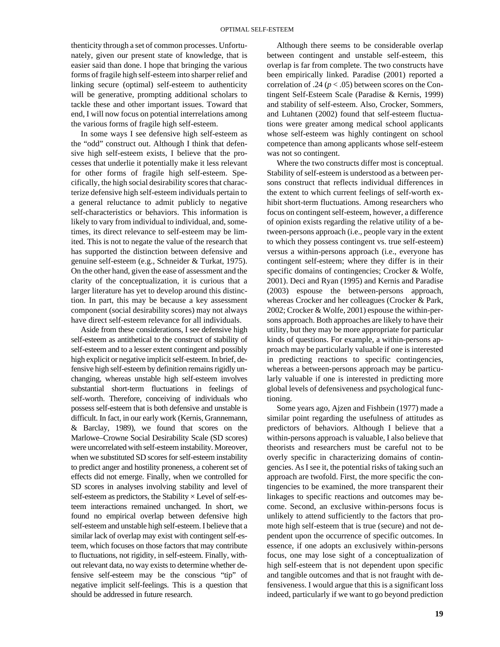thenticity through a set of common processes. Unfortunately, given our present state of knowledge, that is easier said than done. I hope that bringing the various forms of fragile high self-esteem into sharper relief and linking secure (optimal) self-esteem to authenticity will be generative, prompting additional scholars to tackle these and other important issues. Toward that end, I will now focus on potential interrelations among the various forms of fragile high self-esteem.

In some ways I see defensive high self-esteem as the "odd" construct out. Although I think that defensive high self-esteem exists, I believe that the processes that underlie it potentially make it less relevant for other forms of fragile high self-esteem. Specifically, the high social desirability scores that characterize defensive high self-esteem individuals pertain to a general reluctance to admit publicly to negative self-characteristics or behaviors. This information is likely to vary from individual to individual, and, sometimes, its direct relevance to self-esteem may be limited. This is not to negate the value of the research that has supported the distinction between defensive and genuine self-esteem (e.g., Schneider & Turkat, 1975). On the other hand, given the ease of assessment and the clarity of the conceptualization, it is curious that a larger literature has yet to develop around this distinction. In part, this may be because a key assessment component (social desirability scores) may not always have direct self-esteem relevance for all individuals.

Aside from these considerations, I see defensive high self-esteem as antithetical to the construct of stability of self-esteem and to a lesser extent contingent and possibly high explicit or negative implicit self-esteem. In brief, defensive high self-esteem by definition remains rigidly unchanging, whereas unstable high self-esteem involves substantial short-term fluctuations in feelings of self-worth. Therefore, conceiving of individuals who possess self-esteem that is both defensive and unstable is difficult. In fact, in our early work (Kernis, Grannemann, & Barclay, 1989), we found that scores on the Marlowe–Crowne Social Desirability Scale (SD scores) were uncorrelated with self-esteem instability. Moreover, when we substituted SD scores for self-esteem instability to predict anger and hostility proneness, a coherent set of effects did not emerge. Finally, when we controlled for SD scores in analyses involving stability and level of self-esteem as predictors, the Stability  $\times$  Level of self-esteem interactions remained unchanged. In short, we found no empirical overlap between defensive high self-esteem and unstable high self-esteem. I believe that a similar lack of overlap may exist with contingent self-esteem, which focuses on those factors that may contribute to fluctuations, not rigidity, in self-esteem. Finally, without relevant data, no way exists to determine whether defensive self-esteem may be the conscious "tip" of negative implicit self-feelings. This is a question that should be addressed in future research.

Although there seems to be considerable overlap between contingent and unstable self-esteem, this overlap is far from complete. The two constructs have been empirically linked. Paradise (2001) reported a correlation of .24 ( $p < .05$ ) between scores on the Contingent Self-Esteem Scale (Paradise & Kernis, 1999) and stability of self-esteem. Also, Crocker, Sommers, and Luhtanen (2002) found that self-esteem fluctuations were greater among medical school applicants whose self-esteem was highly contingent on school competence than among applicants whose self-esteem was not so contingent.

Where the two constructs differ most is conceptual. Stability of self-esteem is understood as a between persons construct that reflects individual differences in the extent to which current feelings of self-worth exhibit short-term fluctuations. Among researchers who focus on contingent self-esteem, however, a difference of opinion exists regarding the relative utility of a between-persons approach (i.e., people vary in the extent to which they possess contingent vs. true self-esteem) versus a within-persons approach (i.e., everyone has contingent self-esteem; where they differ is in their specific domains of contingencies; Crocker & Wolfe, 2001). Deci and Ryan (1995) and Kernis and Paradise (2003) espouse the between-persons approach, whereas Crocker and her colleagues (Crocker & Park, 2002; Crocker & Wolfe, 2001) espouse the within-persons approach. Both approaches are likely to have their utility, but they may be more appropriate for particular kinds of questions. For example, a within-persons approach may be particularly valuable if one is interested in predicting reactions to specific contingencies, whereas a between-persons approach may be particularly valuable if one is interested in predicting more global levels of defensiveness and psychological functioning.

Some years ago, Ajzen and Fishbein (1977) made a similar point regarding the usefulness of attitudes as predictors of behaviors. Although I believe that a within-persons approach is valuable, I also believe that theorists and researchers must be careful not to be overly specific in characterizing domains of contingencies. As I see it, the potential risks of taking such an approach are twofold. First, the more specific the contingencies to be examined, the more transparent their linkages to specific reactions and outcomes may become. Second, an exclusive within-persons focus is unlikely to attend sufficiently to the factors that promote high self-esteem that is true (secure) and not dependent upon the occurrence of specific outcomes. In essence, if one adopts an exclusively within-persons focus, one may lose sight of a conceptualization of high self-esteem that is not dependent upon specific and tangible outcomes and that is not fraught with defensiveness. I would argue that this is a significant loss indeed, particularly if we want to go beyond prediction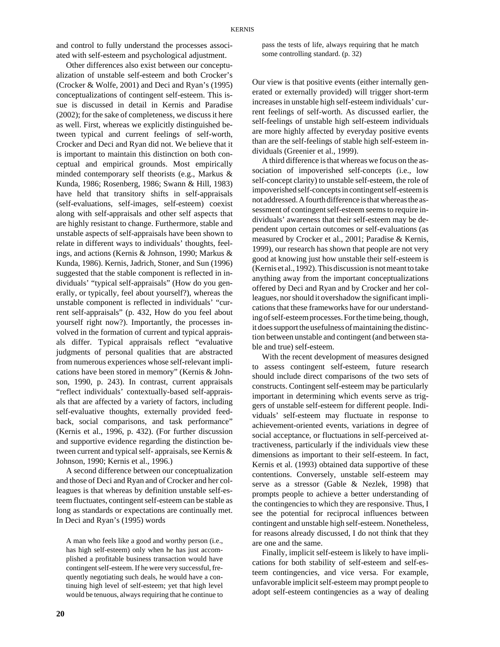and control to fully understand the processes associated with self-esteem and psychological adjustment.

Other differences also exist between our conceptualization of unstable self-esteem and both Crocker's (Crocker & Wolfe, 2001) and Deci and Ryan's (1995) conceptualizations of contingent self-esteem. This issue is discussed in detail in Kernis and Paradise (2002); for the sake of completeness, we discuss it here as well. First, whereas we explicitly distinguished between typical and current feelings of self-worth, Crocker and Deci and Ryan did not. We believe that it is important to maintain this distinction on both conceptual and empirical grounds. Most empirically minded contemporary self theorists (e.g., Markus & Kunda, 1986; Rosenberg, 1986; Swann & Hill, 1983) have held that transitory shifts in self-appraisals (self-evaluations, self-images, self-esteem) coexist along with self-appraisals and other self aspects that are highly resistant to change. Furthermore, stable and unstable aspects of self-appraisals have been shown to relate in different ways to individuals' thoughts, feelings, and actions (Kernis & Johnson, 1990; Markus & Kunda, 1986). Kernis, Jadrich, Stoner, and Sun (1996) suggested that the stable component is reflected in individuals' "typical self-appraisals" (How do you generally, or typically, feel about yourself?), whereas the unstable component is reflected in individuals' "current self-appraisals" (p. 432, How do you feel about yourself right now?). Importantly, the processes involved in the formation of current and typical appraisals differ. Typical appraisals reflect "evaluative judgments of personal qualities that are abstracted from numerous experiences whose self-relevant implications have been stored in memory" (Kernis & Johnson, 1990, p. 243). In contrast, current appraisals "reflect individuals' contextually-based self-appraisals that are affected by a variety of factors, including self-evaluative thoughts, externally provided feedback, social comparisons, and task performance" (Kernis et al., 1996, p. 432). (For further discussion and supportive evidence regarding the distinction between current and typical self- appraisals, see Kernis & Johnson, 1990; Kernis et al., 1996.)

A second difference between our conceptualization and those of Deci and Ryan and of Crocker and her colleagues is that whereas by definition unstable self-esteem fluctuates, contingent self-esteem can be stable as long as standards or expectations are continually met. In Deci and Ryan's (1995) words

A man who feels like a good and worthy person (i.e., has high self-esteem) only when he has just accomplished a profitable business transaction would have contingent self-esteem. If he were very successful, frequently negotiating such deals, he would have a continuing high level of self-esteem; yet that high level would be tenuous, always requiring that he continue to

pass the tests of life, always requiring that he match some controlling standard. (p. 32)

Our view is that positive events (either internally generated or externally provided) will trigger short-term increases in unstable high self-esteem individuals' current feelings of self-worth. As discussed earlier, the self-feelings of unstable high self-esteem individuals are more highly affected by everyday positive events than are the self-feelings of stable high self-esteem individuals (Greenier et al., 1999).

A third difference is that whereas we focus on the association of impoverished self-concepts (i.e., low self-concept clarity) to unstable self-esteem, the role of impoverished self-concepts in contingent self-esteem is not addressed. A fourth difference is that whereas the assessment of contingent self-esteem seems to require individuals' awareness that their self-esteem may be dependent upon certain outcomes or self-evaluations (as measured by Crocker et al., 2001; Paradise & Kernis, 1999), our research has shown that people are not very good at knowing just how unstable their self-esteem is (Kernis et al., 1992). This discussion is not meant to take anything away from the important conceptualizations offered by Deci and Ryan and by Crocker and her colleagues, nor should it overshadow the significant implications that these frameworks have for our understanding of self-esteem processes. For the time being, though, it does support the usefulness of maintaining the distinction between unstable and contingent (and between stable and true) self-esteem.

With the recent development of measures designed to assess contingent self-esteem, future research should include direct comparisons of the two sets of constructs. Contingent self-esteem may be particularly important in determining which events serve as triggers of unstable self-esteem for different people. Individuals' self-esteem may fluctuate in response to achievement-oriented events, variations in degree of social acceptance, or fluctuations in self-perceived attractiveness, particularly if the individuals view these dimensions as important to their self-esteem. In fact, Kernis et al. (1993) obtained data supportive of these contentions. Conversely, unstable self-esteem may serve as a stressor (Gable & Nezlek, 1998) that prompts people to achieve a better understanding of the contingencies to which they are responsive. Thus, I see the potential for reciprocal influences between contingent and unstable high self-esteem. Nonetheless, for reasons already discussed, I do not think that they are one and the same.

Finally, implicit self-esteem is likely to have implications for both stability of self-esteem and self-esteem contingencies, and vice versa. For example, unfavorable implicit self-esteem may prompt people to adopt self-esteem contingencies as a way of dealing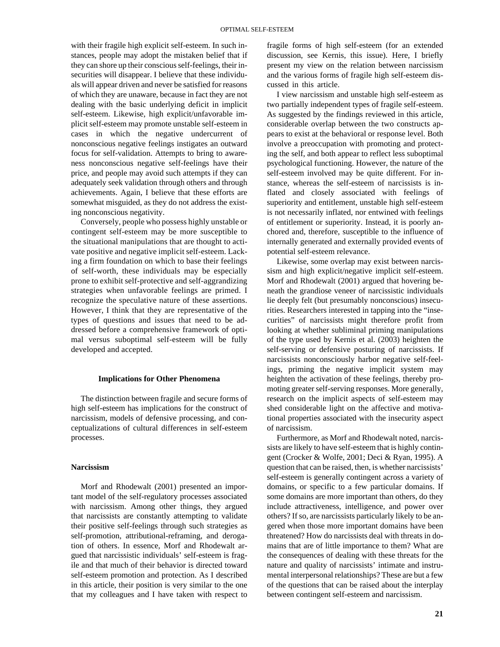with their fragile high explicit self-esteem. In such instances, people may adopt the mistaken belief that if they can shore up their conscious self-feelings, their insecurities will disappear. I believe that these individuals will appear driven and never be satisfied for reasons of which they are unaware, because in fact they are not dealing with the basic underlying deficit in implicit self-esteem. Likewise, high explicit/unfavorable implicit self-esteem may promote unstable self-esteem in cases in which the negative undercurrent of nonconscious negative feelings instigates an outward focus for self-validation. Attempts to bring to awareness nonconscious negative self-feelings have their price, and people may avoid such attempts if they can adequately seek validation through others and through achievements. Again, I believe that these efforts are somewhat misguided, as they do not address the existing nonconscious negativity.

Conversely, people who possess highly unstable or contingent self-esteem may be more susceptible to the situational manipulations that are thought to activate positive and negative implicit self-esteem. Lacking a firm foundation on which to base their feelings of self-worth, these individuals may be especially prone to exhibit self-protective and self-aggrandizing strategies when unfavorable feelings are primed. I recognize the speculative nature of these assertions. However, I think that they are representative of the types of questions and issues that need to be addressed before a comprehensive framework of optimal versus suboptimal self-esteem will be fully developed and accepted.

#### **Implications for Other Phenomena**

The distinction between fragile and secure forms of high self-esteem has implications for the construct of narcissism, models of defensive processing, and conceptualizations of cultural differences in self-esteem processes.

#### **Narcissism**

Morf and Rhodewalt (2001) presented an important model of the self-regulatory processes associated with narcissism. Among other things, they argued that narcissists are constantly attempting to validate their positive self-feelings through such strategies as self-promotion, attributional-reframing, and derogation of others. In essence, Morf and Rhodewalt argued that narcissistic individuals' self-esteem is fragile and that much of their behavior is directed toward self-esteem promotion and protection. As I described in this article, their position is very similar to the one that my colleagues and I have taken with respect to fragile forms of high self-esteem (for an extended discussion, see Kernis, this issue). Here, I briefly present my view on the relation between narcissism and the various forms of fragile high self-esteem discussed in this article.

I view narcissism and unstable high self-esteem as two partially independent types of fragile self-esteem. As suggested by the findings reviewed in this article, considerable overlap between the two constructs appears to exist at the behavioral or response level. Both involve a preoccupation with promoting and protecting the self, and both appear to reflect less suboptimal psychological functioning. However, the nature of the self-esteem involved may be quite different. For instance, whereas the self-esteem of narcissists is inflated and closely associated with feelings of superiority and entitlement, unstable high self-esteem is not necessarily inflated, nor entwined with feelings of entitlement or superiority. Instead, it is poorly anchored and, therefore, susceptible to the influence of internally generated and externally provided events of potential self-esteem relevance.

Likewise, some overlap may exist between narcissism and high explicit/negative implicit self-esteem. Morf and Rhodewalt (2001) argued that hovering beneath the grandiose veneer of narcissistic individuals lie deeply felt (but presumably nonconscious) insecurities. Researchers interested in tapping into the "insecurities" of narcissists might therefore profit from looking at whether subliminal priming manipulations of the type used by Kernis et al. (2003) heighten the self-serving or defensive posturing of narcissists. If narcissists nonconsciously harbor negative self-feelings, priming the negative implicit system may heighten the activation of these feelings, thereby promoting greater self-serving responses. More generally, research on the implicit aspects of self-esteem may shed considerable light on the affective and motivational properties associated with the insecurity aspect of narcissism.

Furthermore, as Morf and Rhodewalt noted, narcissists are likely to have self-esteem that is highly contingent (Crocker & Wolfe, 2001; Deci & Ryan, 1995). A question that can be raised, then, is whether narcissists' self-esteem is generally contingent across a variety of domains, or specific to a few particular domains. If some domains are more important than others, do they include attractiveness, intelligence, and power over others? If so, are narcissists particularly likely to be angered when those more important domains have been threatened? How do narcissists deal with threats in domains that are of little importance to them? What are the consequences of dealing with these threats for the nature and quality of narcissists' intimate and instrumental interpersonal relationships? These are but a few of the questions that can be raised about the interplay between contingent self-esteem and narcissism.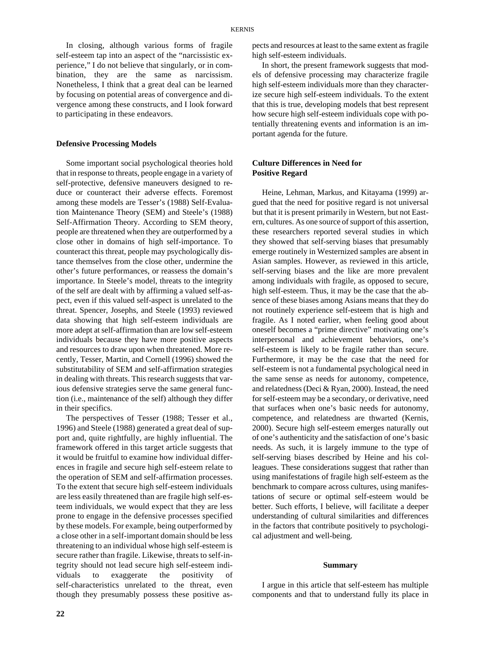In closing, although various forms of fragile self-esteem tap into an aspect of the "narcissistic experience," I do not believe that singularly, or in combination, they are the same as narcissism. Nonetheless, I think that a great deal can be learned by focusing on potential areas of convergence and divergence among these constructs, and I look forward to participating in these endeavors.

#### **Defensive Processing Models**

Some important social psychological theories hold that in response to threats, people engage in a variety of self-protective, defensive maneuvers designed to reduce or counteract their adverse effects. Foremost among these models are Tesser's (1988) Self-Evaluation Maintenance Theory (SEM) and Steele's (1988) Self-Affirmation Theory. According to SEM theory, people are threatened when they are outperformed by a close other in domains of high self-importance. To counteract this threat, people may psychologically distance themselves from the close other, undermine the other's future performances, or reassess the domain's importance. In Steele's model, threats to the integrity of the self are dealt with by affirming a valued self-aspect, even if this valued self-aspect is unrelated to the threat. Spencer, Josephs, and Steele (1993) reviewed data showing that high self-esteem individuals are more adept at self-affirmation than are low self-esteem individuals because they have more positive aspects and resources to draw upon when threatened. More recently, Tesser, Martin, and Cornell (1996) showed the substitutability of SEM and self-affirmation strategies in dealing with threats. This research suggests that various defensive strategies serve the same general function (i.e., maintenance of the self) although they differ in their specifics.

The perspectives of Tesser (1988; Tesser et al., 1996) and Steele (1988) generated a great deal of support and, quite rightfully, are highly influential. The framework offered in this target article suggests that it would be fruitful to examine how individual differences in fragile and secure high self-esteem relate to the operation of SEM and self-affirmation processes. To the extent that secure high self-esteem individuals are less easily threatened than are fragile high self-esteem individuals, we would expect that they are less prone to engage in the defensive processes specified by these models. For example, being outperformed by a close other in a self-important domain should be less threatening to an individual whose high self-esteem is secure rather than fragile. Likewise, threats to self-integrity should not lead secure high self-esteem individuals to exaggerate the positivity of self-characteristics unrelated to the threat, even though they presumably possess these positive aspects and resources at least to the same extent as fragile high self-esteem individuals.

In short, the present framework suggests that models of defensive processing may characterize fragile high self-esteem individuals more than they characterize secure high self-esteem individuals. To the extent that this is true, developing models that best represent how secure high self-esteem individuals cope with potentially threatening events and information is an important agenda for the future.

### **Culture Differences in Need for Positive Regard**

Heine, Lehman, Markus, and Kitayama (1999) argued that the need for positive regard is not universal but that it is present primarily in Western, but not Eastern, cultures. As one source of support of this assertion, these researchers reported several studies in which they showed that self-serving biases that presumably emerge routinely in Westernized samples are absent in Asian samples. However, as reviewed in this article, self-serving biases and the like are more prevalent among individuals with fragile, as opposed to secure, high self-esteem. Thus, it may be the case that the absence of these biases among Asians means that they do not routinely experience self-esteem that is high and fragile. As I noted earlier, when feeling good about oneself becomes a "prime directive" motivating one's interpersonal and achievement behaviors, one's self-esteem is likely to be fragile rather than secure. Furthermore, it may be the case that the need for self-esteem is not a fundamental psychological need in the same sense as needs for autonomy, competence, and relatedness (Deci & Ryan, 2000). Instead, the need for self-esteem may be a secondary, or derivative, need that surfaces when one's basic needs for autonomy, competence, and relatedness are thwarted (Kernis, 2000). Secure high self-esteem emerges naturally out of one's authenticity and the satisfaction of one's basic needs. As such, it is largely immune to the type of self-serving biases described by Heine and his colleagues. These considerations suggest that rather than using manifestations of fragile high self-esteem as the benchmark to compare across cultures, using manifestations of secure or optimal self-esteem would be better. Such efforts, I believe, will facilitate a deeper understanding of cultural similarities and differences in the factors that contribute positively to psychological adjustment and well-being.

#### **Summary**

I argue in this article that self-esteem has multiple components and that to understand fully its place in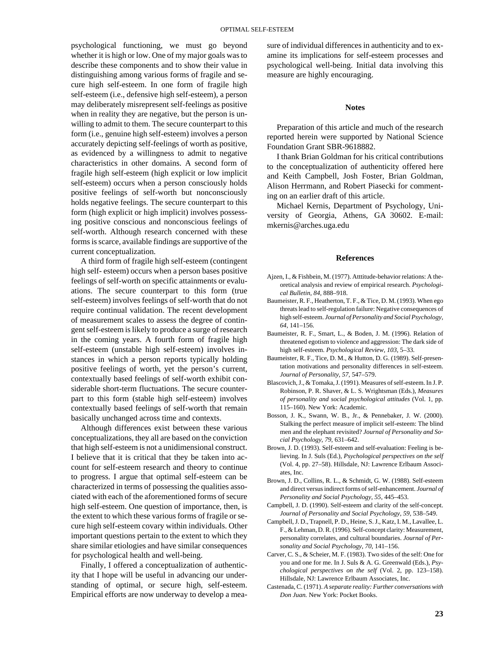psychological functioning, we must go beyond whether it is high or low. One of my major goals was to describe these components and to show their value in distinguishing among various forms of fragile and secure high self-esteem. In one form of fragile high self-esteem (i.e., defensive high self-esteem), a person may deliberately misrepresent self-feelings as positive when in reality they are negative, but the person is unwilling to admit to them. The secure counterpart to this form (i.e., genuine high self-esteem) involves a person accurately depicting self-feelings of worth as positive, as evidenced by a willingness to admit to negative characteristics in other domains. A second form of fragile high self-esteem (high explicit or low implicit self-esteem) occurs when a person consciously holds positive feelings of self-worth but nonconsciously holds negative feelings. The secure counterpart to this form (high explicit or high implicit) involves possessing positive conscious and nonconscious feelings of self-worth. Although research concerned with these forms is scarce, available findings are supportive of the current conceptualization.

A third form of fragile high self-esteem (contingent high self- esteem) occurs when a person bases positive feelings of self-worth on specific attainments or evaluations. The secure counterpart to this form (true self-esteem) involves feelings of self-worth that do not require continual validation. The recent development of measurement scales to assess the degree of contingent self-esteem is likely to produce a surge of research in the coming years. A fourth form of fragile high self-esteem (unstable high self-esteem) involves instances in which a person reports typically holding positive feelings of worth, yet the person's current, contextually based feelings of self-worth exhibit considerable short-term fluctuations. The secure counterpart to this form (stable high self-esteem) involves contextually based feelings of self-worth that remain basically unchanged across time and contexts.

Although differences exist between these various conceptualizations, they all are based on the conviction that high self-esteem is not a unidimensional construct. I believe that it is critical that they be taken into account for self-esteem research and theory to continue to progress. I argue that optimal self-esteem can be characterized in terms of possessing the qualities associated with each of the aforementioned forms of secure high self-esteem. One question of importance, then, is the extent to which these various forms of fragile or secure high self-esteem covary within individuals. Other important questions pertain to the extent to which they share similar etiologies and have similar consequences for psychological health and well-being.

Finally, I offered a conceptualization of authenticity that I hope will be useful in advancing our understanding of optimal, or secure high, self-esteem. Empirical efforts are now underway to develop a measure of individual differences in authenticity and to examine its implications for self-esteem processes and psychological well-being. Initial data involving this measure are highly encouraging.

#### **Notes**

Preparation of this article and much of the research reported herein were supported by National Science Foundation Grant SBR-9618882.

I thank Brian Goldman for his critical contributions to the conceptualization of authenticity offered here and Keith Campbell, Josh Foster, Brian Goldman, Alison Herrmann, and Robert Piasecki for commenting on an earlier draft of this article.

Michael Kernis, Department of Psychology, University of Georgia, Athens, GA 30602. E-mail: mkernis@arches.uga.edu

#### **References**

- Ajzen, I., & Fishbein, M. (1977). Atttitude-behavior relations: A theoretical analysis and review of empirical research. *Psychological Bulletin, 84,* 888–918.
- Baumeister, R. F., Heatherton, T. F., & Tice, D. M. (1993). When ego threats lead to self-regulation failure: Negative consequences of high self-esteem. *Journal of Personality and Social Psychology, 64,* 141–156.
- Baumeister, R. F., Smart, L., & Boden, J. M. (1996). Relation of threatened egotism to violence and aggression: The dark side of high self-esteem. *Psychological Review, 103,* 5–33*.*
- Baumeister, R. F., Tice, D. M., & Hutton, D. G. (1989). Self-presentation motivations and personality differences in self-esteem. *Journal of Personality, 57,* 547–579.
- Blascovich, J., & Tomaka, J. (1991). Measures of self-esteem. In J. P. Robinson, P. R. Shaver, & L. S. Wrightsman (Eds.), *Measures of personality and social psychological attitudes* (Vol. 1, pp. 115–160). New York: Academic.
- Bosson, J. K., Swann, W. B., Jr., & Pennebaker, J. W. (2000). Stalking the perfect measure of implicit self-esteem: The blind men and the elephant revisited? *Journal of Personality and Social Psychology, 79,* 631–642.
- Brown, J. D. (1993). Self-esteem and self-evaluation: Feeling is believing. In J. Suls (Ed.), *Psychological perspectives on the self* (Vol. 4, pp. 27–58). Hillsdale, NJ: Lawrence Erlbaum Associates, Inc.
- Brown, J. D., Collins, R. L., & Schmidt, G. W. (1988). Self-esteem and direct versus indirect forms of self-enhancement. *Journal of Personality and Social Psychology, 55,* 445–453.
- Campbell, J. D. (1990). Self-esteem and clarity of the self-concept. *Journal of Personality and Social Psychology, 59,* 538–549.
- Campbell, J. D., Trapnell, P. D., Heine, S. J., Katz, I. M., Lavallee, L. F., & Lehman, D. R. (1996). Self-concept clarity: Measurement, personality correlates, and cultural boundaries. *Journal of Personality and Social Psychology, 70,* 141–156.
- Carver, C. S., & Scheier, M. F. (1983). Two sides of the self: One for you and one for me. In J. Suls & A. G. Greenwald (Eds.), *Psychological perspectives on the self* (Vol. 2, pp. 123–158). Hillsdale, NJ: Lawrence Erlbaum Associates, Inc.
- Castenada, C. (1971). *A separate reality: Further conversations with Don Juan.* New York: Pocket Books.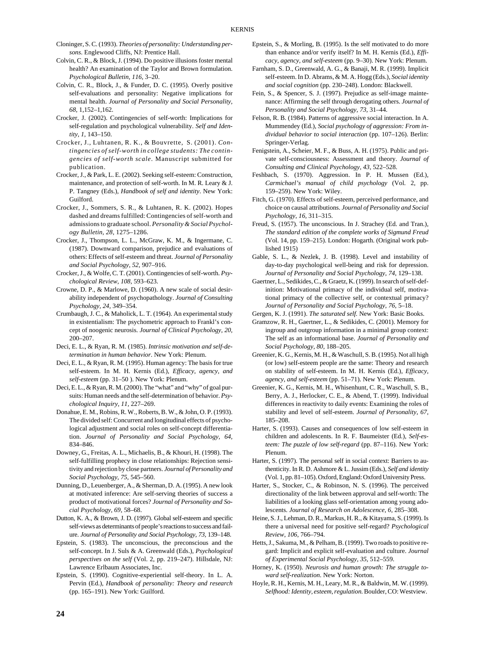- Cloninger, S. C. (1993). *Theories of personality: Understanding persons*. Englewood Cliffs, NJ: Prentice Hall.
- Colvin, C. R., & Block, J. (1994). Do positive illusions foster mental health? An examination of the Taylor and Brown formulation. *Psychological Bulletin, 116,* 3–20.
- Colvin, C. R., Block, J., & Funder, D. C. (1995). Overly positive self-evaluations and personality: Negative implications for mental health. *Journal of Personality and Social Personality, 68,* 1,152–1,162.
- Crocker, J. (2002). Contingencies of self-worth: Implications for self-regulation and psychological vulnerability. *Self and Identity, 1,* 143–150.
- Crocker, J., Luhtanen, R. K., & Bouvrette, S. (2001). *Contingencies of self-worth in college students: The contingencies of self-worth scale*. Manuscript submitted for publication.
- Crocker, J., & Park, L. E. (2002). Seeking self-esteem: Construction, maintenance, and protection of self-worth. In M. R. Leary & J. P. Tangney (Eds.), *Handbook of self and identity*. New York: Guilford.
- Crocker, J., Sommers, S. R., & Luhtanen, R. K. (2002). Hopes dashed and dreams fulfilled: Contingencies of self-worth and admissions to graduate school. *Personality & Social Psychology Bulletin, 28,* 1275–1286.
- Crocker, J., Thompson, L. L., McGraw, K. M., & Ingermane, C. (1987). Downward comparison, prejudice and evaluations of others: Effects of self-esteem and threat. *Journal of Personality and Social Psychology, 52,* 907–916.
- Crocker, J., & Wolfe, C. T. (2001). Contingencies of self-worth. *Psychological Review, 108,* 593–623.
- Crowne, D. P., & Marlowe, D. (1960). A new scale of social desirability independent of psychopathology. *Journal of Consulting Psychology, 24,* 349–354.
- Crumbaugh, J. C., & Maholick, L. T. (1964). An experimental study in existentialism: The psychometric approach to Frankl's concept of noogenic neurosis. *Journal of Clinical Psychology, 20,* 200–207.
- Deci, E. L., & Ryan, R. M. (1985). *Intrinsic motivation and self-determination in human behavior*. New York: Plenum.
- Deci, E. L., & Ryan, R. M. (1995). Human agency: The basis for true self-esteem. In M. H. Kernis (Ed.), *Efficacy, agency, and self-esteem* (pp. 31–50 ). New York: Plenum.
- Deci, E. L., & Ryan, R. M. (2000). The "what" and "why" of goal pursuits: Human needs and the self-determination of behavior. *Psychological Inquiry, 11,* 227–269.
- Donahue, E. M., Robins, R. W., Roberts, B. W., & John, O. P. (1993). The divided self: Concurrent and longitudinal effects of psychological adjustment and social roles on self-concept differentiation. *Journal of Personality and Social Psychology, 64,* 834–846.
- Downey, G., Freitas, A. L., Michaelis, B., & Khouri, H. (1998). The self-fulfilling prophecy in close relationships: Rejection sensitivity and rejection by close partners. *Journal of Personality and Social Psychology, 75,* 545–560.
- Dunning, D., Leuenberger, A., & Sherman, D. A. (1995). A new look at motivated inference: Are self-serving theories of success a product of motivational forces? *Journal of Personality and Social Psychology, 69,* 58–68.
- Dutton, K. A., & Brown, J. D. (1997). Global self-esteem and specific self-views as determinants of people's reactions to success and failure. *Journal of Personality and Social Psychology, 73,* 139–148.
- Epstein, S. (1983). The unconscious, the preconscious and the self-concept. In J. Suls & A. Greenwald (Eds.), *Psychological perspectives on the self* (Vol. 2, pp. 219–247). Hillsdale, NJ: Lawrence Erlbaum Associates, Inc.
- Epstein, S. (1990). Cognitive-experiential self-theory. In L. A. Pervin (Ed.), *Handbook of personality: Theory and research* (pp. 165–191). New York: Guilford.
- Epstein, S., & Morling, B. (1995). Is the self motivated to do more than enhance and/or verify itself? In M. H. Kernis (Ed.), *Efficacy, agency, and self-esteem* (pp. 9–30). New York: Plenum.
- Farnham, S. D., Greenwald, A. G., & Banaji, M. R. (1999). Implicit self-esteem. In D. Abrams, & M. A. Hogg (Eds.), *Social identity and social cognition* (pp. 230–248). London: Blackwell.
- Fein, S., & Spencer, S. J. (1997). Prejudice as self-image maintenance: Affirming the self through derogating others. *Journal of Personality and Social Psychology, 73,* 31–44.
- Felson, R. B. (1984). Patterns of aggressive social interaction. In A. Mummendey (Ed.), *Social psychology of aggression: From individual behavior to social interaction* (pp. 107–126). Berlin: Springer-Verlag.
- Fenigstein, A., Scheier, M. F., & Buss, A. H. (1975). Public and private self-consciousness: Assessment and theory. *Journal of Consulting and Clinical Psychology, 43,* 522–528.
- Feshbach, S. (1970). Aggression. In P. H. Mussen (Ed.), *Carmichael's manual of child psychology* (Vol. 2, pp. 159–259). New York: Wiley.
- Fitch, G. (1970). Effects of self-esteem, perceived performance, and choice on causal attributions. *Journal of Personality and Social Psychology, 16,* 311–315.
- Freud, S. (1957). The unconscious. In J. Strachey (Ed. and Tran.), *The standard edition of the complete works of Sigmund Freud* (Vol. 14, pp. 159–215). London: Hogarth. (Original work published 1915)
- Gable, S. L., & Nezlek, J. B. (1998). Level and instability of day-to-day psychological well-being and risk for depression. *Journal of Personality and Social Psychology, 74,* 129–138.
- Gaertner, L., Sedikides, C., & Graetz, K. (1999). In search of self-definition: Motivational primacy of the individual self, motivational primacy of the collective self, or contextual primacy? *Journal of Personality and Social Psychology, 76,* 5–18.
- Gergen, K. J. (1991). *The saturated self.* New York: Basic Books.
- Gramzow, R. H., Gaertner, L., & Sedikides, C. (2001). Memory for ingroup and outgroup information in a minimal group context: The self as an informational base. *Journal of Personality and Social Psychology, 80,* 188–205.
- Greenier, K. G., Kernis, M. H., & Waschull, S. B. (1995). Not all high (or low) self-esteem people are the same: Theory and research on stability of self-esteem. In M. H. Kernis (Ed.), *Efficacy, agency, and self-esteem* (pp. 51–71). New York: Plenum.
- Greenier, K. G., Kernis, M. H., Whisenhunt, C. R., Waschull, S. B., Berry, A. J., Herlocker, C. E., & Abend, T. (1999). Individual differences in reactivity to daily events: Examining the roles of stability and level of self-esteem. *Journal of Personality, 67,* 185–208.
- Harter, S. (1993). Causes and consequences of low self-esteem in children and adolescents. In R. F. Baumeister (Ed.), *Self-esteem: The puzzle of low self-regard* (pp. 87–116). New York: Plenum.
- Harter, S. (1997). The personal self in social context: Barriers to authenticity. In R. D. Ashmore & L. Jussim (Eds.), *Self and identity* (Vol. 1, pp. 81–105). Oxford, England: Oxford University Press.
- Harter, S., Stocker, C., & Robinson, N. S. (1996). The perceived directionality of the link between approval and self-worth: The liabilities of a looking glass self-orientation among young adolescents. *Journal of Research on Adolescence, 6,* 285–308.
- Heine, S. J., Lehman, D. R., Markus, H. R., & Kitayama, S. (1999). Is there a universal need for positive self-regard? *Psychological Review, 106,* 766–794.
- Hetts, J., Sakuma, M., & Pelham, B. (1999). Two roads to positive regard: Implicit and explicit self-evaluation and culture. *Journal of Experimental Social Psychology, 35,* 512–559.
- Horney, K. (1950). *Neurosis and human growth: The struggle toward self-realization*. New York: Norton.
- Hoyle, R. H., Kernis, M. H., Leary, M. R., & Baldwin, M. W. (1999). *Selfhood: Identity, esteem, regulation.*Boulder, CO: Westview.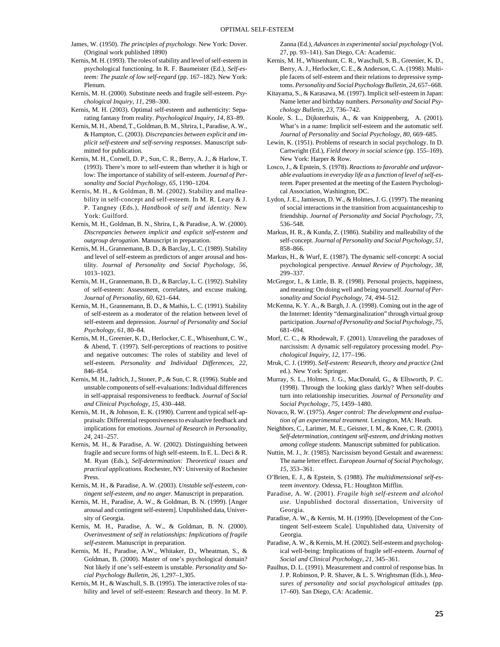- James, W. (1950). *The principles of psychology*. New York: Dover. (Original work published 1890)
- Kernis, M. H. (1993). The roles of stability and level of self-esteem in psychological functioning. In R. F. Baumeister (Ed.), *Self-esteem: The puzzle of low self-regard* (pp. 167–182). New York: Plenum.
- Kernis, M. H. (2000). Substitute needs and fragile self-esteem. *Psychological Inquiry, 11,* 298–300.
- Kernis, M. H. (2003). Optimal self-esteem and authenticity: Separating fantasy from reality. *Psychological Inquiry, 14,* 83–89.
- Kernis, M. H., Abend, T., Goldman, B. M., Shrira, I., Paradise, A. W., & Hampton, C. (2003). *Discrepancies between explicit and implicit self-esteem and self-serving responses*. Manuscript submitted for publication.
- Kernis, M. H., Cornell, D. P., Sun, C. R., Berry, A. J., & Harlow, T. (1993). There's more to self-esteem than whether it is high or low: The importance of stability of self-esteem. *Journal of Personality and Social Psychology, 65,* 1190–1204.
- Kernis, M. H., & Goldman, B. M. (2002). Stability and malleability in self-concept and self-esteem. In M. R. Leary & J. P. Tangney (Eds.), *Handbook of self and identity*. New York: Guilford.
- Kernis, M. H., Goldman, B. N., Shrira, I., & Paradise, A. W. (2000). *Discrepancies between implicit and explicit self-esteem and outgroup derogation*. Manuscript in preparation.
- Kernis, M. H., Grannemann, B. D., & Barclay, L. C. (1989). Stability and level of self-esteem as predictors of anger arousal and hostility. *Journal of Personality and Social Psychology, 56,* 1013–1023.
- Kernis, M. H., Grannemann, B. D., & Barclay, L. C. (1992). Stability of self-esteem: Assessment, correlates, and excuse making. *Journal of Personality, 60,* 621–644.
- Kernis, M. H., Grannemann, B. D., & Mathis, L. C. (1991). Stability of self-esteem as a moderator of the relation between level of self-esteem and depression. *Journal of Personality and Social Psychology, 61,* 80–84.
- Kernis, M. H., Greenier, K. D., Herlocker, C. E., Whisenhunt, C. W., & Abend, T. (1997). Self-perceptions of reactions to positive and negative outcomes: The roles of stability and level of self-esteem. *Personality and Individual Differences, 22,* 846–854.
- Kernis, M. H., Jadrich, J., Stoner, P., & Sun, C. R. (1996). Stable and unstable components of self-evaluations: Individual differences in self-appraisal responsiveness to feedback. *Journal of Social and Clinical Psychology, 15,* 430–448.
- Kernis, M. H., & Johnson, E. K. (1990). Current and typical self-appraisals: Differential responsiveness to evaluative feedback and implications for emotions. *Journal of Research in Personality, 24,* 241–257.
- Kernis, M. H., & Paradise, A. W. (2002). Distinguishing between fragile and secure forms of high self-esteem. In E. L. Deci & R. M. Ryan (Eds.), *Self-determination: Theoretical issues and practical applications.* Rochester, NY: University of Rochester Press.
- Kernis, M. H., & Paradise, A. W. (2003). *Unstable self-esteem, contingent self-esteem, and no anger.* Manuscript in preparation.
- Kernis, M. H., Paradise, A. W., & Goldman, B. N. (1999). [Anger arousal and contingent self-esteem]. Unpublished data, University of Georgia.
- Kernis, M. H., Paradise, A. W., & Goldman, B. N. (2000). *Overinvestment of self in relationships: Implications of fragile self-esteem*. Manuscript in preparation.
- Kernis, M. H., Paradise, A.W., Whitaker, D., Wheatman, S., & Goldman, B. (2000). Master of one's psychological domain? Not likely if one's self-esteem is unstable. *Personality and Social Psychology Bulletin, 26,* 1,297–1,305.
- Kernis, M. H., & Waschull, S. B. (1995). The interactive roles of stability and level of self-esteem: Research and theory. In M. P.

Zanna (Ed.), *Advances in experimental social psychology* (Vol. 27, pp. 93–141). San Diego, CA: Academic.

- Kernis, M. H., Whisenhunt, C. R., Waschull, S. B., Greenier, K. D., Berry, A. J., Herlocker, C. E., & Anderson, C. A. (1998). Multiple facets of self-esteem and their relations to depressive symptoms.*Personality and Social Psychology Bulletin, 24,* 657–668.
- Kitayama, S., & Karasawa, M. (1997). Implicit self-esteem in Japan: Name letter and birthday numbers. *Personality and Social Psychology Bulletin, 23,* 736–742.
- Koole, S. L., Dijksterhuis, A., & van Knippenberg, A. (2001). What's in a name: Implicit self-esteem and the automatic self. *Journal of Personality and Social Psychology, 80,* 669–685.
- Lewin, K. (1951). Problems of research in social psychology. In D. Cartwright (Ed.), *Field theory in social science* (pp. 155–169). New York: Harper & Row.
- Losco, J., & Epstein, S. (1978). *Reactions to favorable and unfavorable evaluations in everyday life as a function of level of self-esteem.* Paper presented at the meeting of the Eastern Psychological Association, Washington, DC.
- Lydon, J. E., Jamieson, D. W., & Holmes, J. G. (1997). The meaning of social interactions in the transition from acquaintanceship to friendship. *Journal of Personality and Social Psychology, 73,* 536–548.
- Markus, H. R., & Kunda, Z. (1986). Stability and malleability of the self-concept. *Journal of Personality and Social Psychology, 51,* 858–866.
- Markus, H., & Wurf, E. (1987). The dynamic self-concept: A social psychological perspective. *Annual Review of Psychology, 38,* 299–337.
- McGregor, I., & Little, B. R. (1998). Personal projects, happiness, and meaning: On doing well and being yourself. *Journal of Personality and Social Psychology, 74,* 494–512.
- McKenna, K. Y. A., & Bargh, J. A. (1998). Coming out in the age of the Internet: Identity "demarginalization" through virtual group participation. *Journal of Personality and Social Psychology, 75,* 681–694.
- Morf, C. C., & Rhodewalt, F. (2001). Unraveling the paradoxes of narcissism: A dynamic self-regulatory processing model. *Psychological Inquiry, 12,* 177–196.
- Mruk, C. J. (1999). *Self-esteem: Research, theory and practice* (2nd ed.). New York: Springer.
- Murray, S. L., Holmes, J. G., MacDonald, G., & Ellsworth, P. C. (1998). Through the looking glass darkly? When self-doubts turn into relationship insecurities. *Journal of Personality and Social Psychology, 75,* 1459–1480.
- Novaco, R. W. (1975). *Anger control: The development and evaluation of an experimental treatment*. Lexington, MA: Heath.
- Neighbors, C., Larimer, M. E., Geisner, I. M., & Knee, C. R. (2001). *Self-determination, contingent self-esteem, and drinking motives among college students*. Manuscript submitted for publication.
- Nuttin, M. J., Jr. (1985). Narcissism beyond Gestalt and awareness: The name letter effect. *European Journal of Social Psychology, 15,* 353–361.
- O'Brien, E. J., & Epstein, S. (1988). *The multidimensional self-esteem inventory.* Odessa, FL: Houghton Mifflin.
- Paradise, A. W. (2001). *Fragile high self-esteem and alcohol use.* Unpublished doctoral dissertation, University of Georgia.
- Paradise, A. W., & Kernis, M. H. (1999). [Development of the Contingent Self-esteem Scale]. Unpublished data, University of Georgia.
- Paradise, A. W., & Kernis, M. H. (2002). Self-esteem and psychological well-being: Implications of fragile self-esteem. *Journal of Social and Clinical Psychology, 21,* 345–361.
- Paulhus, D. L. (1991). Measurement and control of response bias. In J. P. Robinson, P. R. Shaver, & L. S. Wrightsman (Eds.), *Measures of personality and social psychological attitudes* (pp. 17–60). San Diego, CA: Academic.